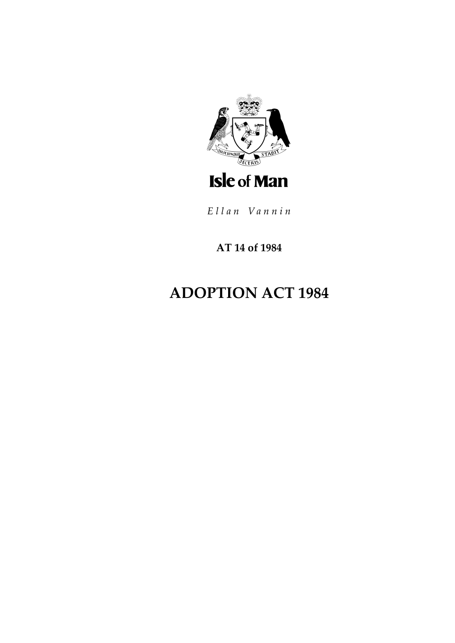

Ellan Vannin

# **AT 14 of 1984**

# **ADOPTION ACT 1984**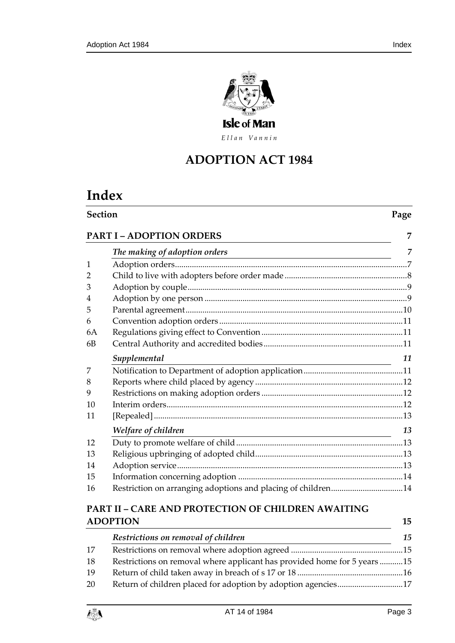

Ellan Vannin

# **ADOPTION ACT 1984**

# **Index**

| <b>Section</b> |                                                                                                                                                        | Page |
|----------------|--------------------------------------------------------------------------------------------------------------------------------------------------------|------|
|                | <b>PART I - ADOPTION ORDERS</b>                                                                                                                        | 7    |
|                | The making of adoption orders<br><u> 1989 - Johann Barn, mars ann an t-Amhain Aonaich an t-Aonaich an t-Aonaich an t-Aonaich an t-Aonaich an t-Aon</u> | 7    |
| 1              |                                                                                                                                                        |      |
| $\overline{2}$ |                                                                                                                                                        |      |
| 3              |                                                                                                                                                        |      |
| 4              |                                                                                                                                                        |      |
| 5              |                                                                                                                                                        |      |
| 6              |                                                                                                                                                        |      |
| 6A             |                                                                                                                                                        |      |
| 6B             |                                                                                                                                                        |      |
|                | Supplemental                                                                                                                                           | 11   |
| 7              |                                                                                                                                                        |      |
| 8              |                                                                                                                                                        |      |
| 9              |                                                                                                                                                        |      |
| 10             |                                                                                                                                                        |      |
| 11             |                                                                                                                                                        |      |
|                | Welfare of children<br><u> 1989 - Johann Barn, mars ann an t-Amhain Aonaichte ann an t-Aonaichte ann an t-Aonaichte ann an t-Aonaichte a</u>           | 13   |
| 12             |                                                                                                                                                        |      |
| 13             |                                                                                                                                                        |      |
| 14             |                                                                                                                                                        |      |
| 15             |                                                                                                                                                        |      |
| 16             | Restriction on arranging adoptions and placing of children14                                                                                           |      |

# **PART II – [CARE AND PROTECTION OF CHILDREN AWAITING](#page-14-0)  [ADOPTION](#page-14-0) 15**

|    | Restrictions on removal of children                                      | 15 |
|----|--------------------------------------------------------------------------|----|
| 17 |                                                                          |    |
| 18 | Restrictions on removal where applicant has provided home for 5 years 15 |    |
| 19 |                                                                          |    |
| 20 |                                                                          |    |

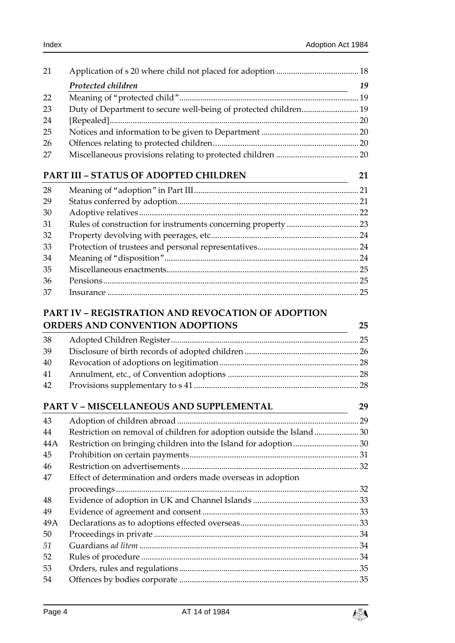| 21  |                                                                      |    |
|-----|----------------------------------------------------------------------|----|
|     | Protected children                                                   | 19 |
| 22  |                                                                      |    |
| 23  | Duty of Department to secure well-being of protected children 19     |    |
| 24  |                                                                      |    |
| 25  |                                                                      |    |
| 26  |                                                                      |    |
| 27  |                                                                      |    |
|     | PART III - STATUS OF ADOPTED CHILDREN                                | 21 |
| 28  |                                                                      |    |
| 29  |                                                                      |    |
| 30  |                                                                      |    |
| 31  |                                                                      |    |
| 32  |                                                                      |    |
| 33  |                                                                      |    |
| 34  |                                                                      |    |
| 35  |                                                                      |    |
| 36  |                                                                      |    |
| 37  |                                                                      |    |
| 38  | <b>ORDERS AND CONVENTION ADOPTIONS</b>                               | 25 |
| 39  |                                                                      |    |
| 40  |                                                                      |    |
| 41  |                                                                      |    |
| 42  |                                                                      |    |
|     |                                                                      |    |
|     | PART V - MISCELLANEOUS AND SUPPLEMENTAL                              | 29 |
| 43  |                                                                      |    |
| 44  | Restriction on removal of children for adoption outside the Island30 |    |
| 44A | Restriction on bringing children into the Island for adoption30      |    |
| 45  |                                                                      |    |
| 46  |                                                                      |    |
| 47  | Effect of determination and orders made overseas in adoption         |    |
|     |                                                                      |    |
| 48  |                                                                      |    |
| 49  |                                                                      |    |
| 49A |                                                                      |    |
| 50  |                                                                      |    |
| 51  |                                                                      |    |
| 52  |                                                                      |    |
| 53  |                                                                      |    |
| 54  |                                                                      |    |

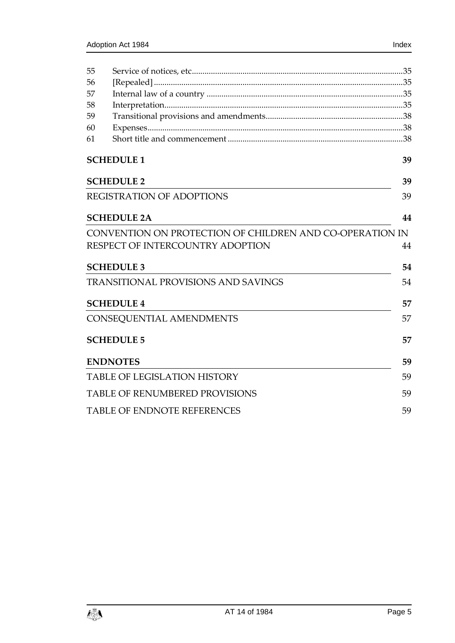| 55 |                                                          |    |
|----|----------------------------------------------------------|----|
| 56 |                                                          |    |
| 57 |                                                          |    |
| 58 |                                                          |    |
| 59 |                                                          |    |
| 60 |                                                          |    |
| 61 |                                                          |    |
|    | <b>SCHEDULE 1</b>                                        | 39 |
|    | <b>SCHEDULE 2</b>                                        | 39 |
|    | REGISTRATION OF ADOPTIONS                                | 39 |
|    | <b>SCHEDULE 2A</b>                                       | 44 |
|    | CONVENTION ON PROTECTION OF CHILDREN AND CO-OPERATION IN |    |
|    | RESPECT OF INTERCOUNTRY ADOPTION                         | 44 |
|    | <b>SCHEDULE 3</b>                                        | 54 |
|    | <b>TRANSITIONAL PROVISIONS AND SAVINGS</b>               | 54 |
|    | <b>SCHEDULE 4</b>                                        | 57 |
|    | <b>CONSEQUENTIAL AMENDMENTS</b>                          | 57 |
|    | <b>SCHEDULE 5</b>                                        | 57 |
|    | <b>ENDNOTES</b>                                          | 59 |
|    | TABLE OF LEGISLATION HISTORY                             | 59 |
|    | <b>TABLE OF RENUMBERED PROVISIONS</b>                    | 59 |
|    | <b>TABLE OF ENDNOTE REFERENCES</b>                       | 59 |

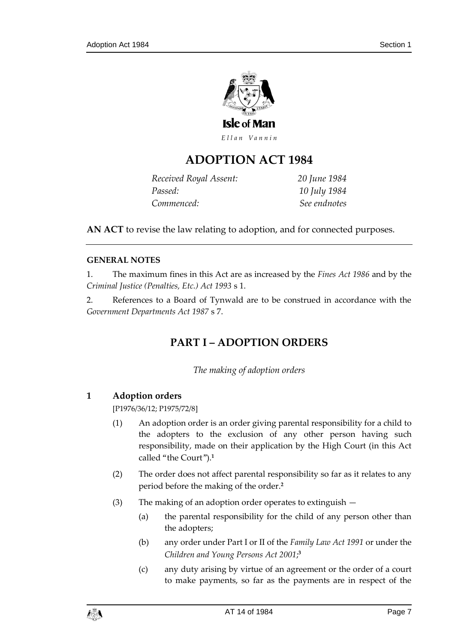

Ellan Vannin

# **ADOPTION ACT 1984**

| Received Royal Assent: | 20 June 1984 |
|------------------------|--------------|
| Passed:                | 10 July 1984 |
| Commenced:             | See endnotes |

**AN ACT** to revise the law relating to adoption, and for connected purposes.

#### **GENERAL NOTES**

1. The maximum fines in this Act are as increased by the *Fines Act 1986* and by the *Criminal Justice (Penalties, Etc.) Act 1993* s 1.

<span id="page-6-0"></span>2. References to a Board of Tynwald are to be construed in accordance with the *Government Departments Act 1987* s 7.

# **PART I – ADOPTION ORDERS**

*The making of adoption orders*

#### <span id="page-6-2"></span><span id="page-6-1"></span>**1 Adoption orders**

[P1976/36/12; P1975/72/8]

- (1) An adoption order is an order giving parental responsibility for a child to the adopters to the exclusion of any other person having such responsibility, made on their application by the High Court (in this Act called "the Court").**<sup>1</sup>**
- (2) The order does not affect parental responsibility so far as it relates to any period before the making of the order.**<sup>2</sup>**
- (3) The making of an adoption order operates to extinguish
	- (a) the parental responsibility for the child of any person other than the adopters;
	- (b) any order under Part I or II of the *Family Law Act 1991* or under the *Children and Young Persons Act 2001*; **3**
	- (c) any duty arising by virtue of an agreement or the order of a court to make payments, so far as the payments are in respect of the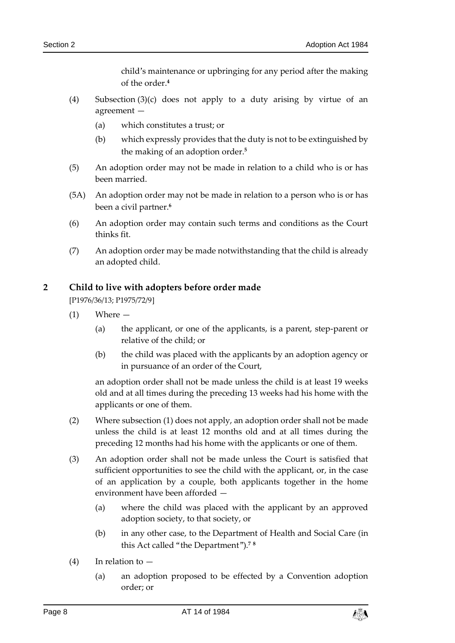child's maintenance or upbringing for any period after the making of the order.**<sup>4</sup>**

- (4) Subsection (3)(c) does not apply to a duty arising by virtue of an agreement —
	- (a) which constitutes a trust; or
	- (b) which expressly provides that the duty is not to be extinguished by the making of an adoption order.**<sup>5</sup>**
- (5) An adoption order may not be made in relation to a child who is or has been married.
- (5A) An adoption order may not be made in relation to a person who is or has been a civil partner.**<sup>6</sup>**
- (6) An adoption order may contain such terms and conditions as the Court thinks fit.
- (7) An adoption order may be made notwithstanding that the child is already an adopted child.

### <span id="page-7-0"></span>**2 Child to live with adopters before order made**

[P1976/36/13; P1975/72/9]

- $(1)$  Where  $-$ 
	- (a) the applicant, or one of the applicants, is a parent, step-parent or relative of the child; or
	- (b) the child was placed with the applicants by an adoption agency or in pursuance of an order of the Court,

an adoption order shall not be made unless the child is at least 19 weeks old and at all times during the preceding 13 weeks had his home with the applicants or one of them.

- (2) Where subsection (1) does not apply, an adoption order shall not be made unless the child is at least 12 months old and at all times during the preceding 12 months had his home with the applicants or one of them.
- (3) An adoption order shall not be made unless the Court is satisfied that sufficient opportunities to see the child with the applicant, or, in the case of an application by a couple, both applicants together in the home environment have been afforded —
	- (a) where the child was placed with the applicant by an approved adoption society, to that society, or
	- (b) in any other case, to the Department of Health and Social Care (in this Act called "the Department").**<sup>7</sup> <sup>8</sup>**
- (4) In relation to  $-$ 
	- (a) an adoption proposed to be effected by a Convention adoption order; or

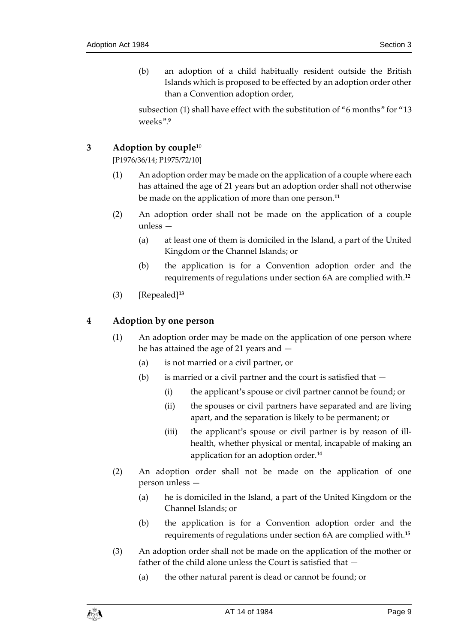(b) an adoption of a child habitually resident outside the British Islands which is proposed to be effected by an adoption order other than a Convention adoption order,

subsection (1) shall have effect with the substitution of "6 months" for "13 weeks". **9**

# <span id="page-8-0"></span>**3 Adoption by couple**<sup>10</sup>

[P1976/36/14; P1975/72/10]

- (1) An adoption order may be made on the application of a couple where each has attained the age of 21 years but an adoption order shall not otherwise be made on the application of more than one person.**<sup>11</sup>**
- (2) An adoption order shall not be made on the application of a couple unless —
	- (a) at least one of them is domiciled in the Island, a part of the United Kingdom or the Channel Islands; or
	- (b) the application is for a Convention adoption order and the requirements of regulations under section 6A are complied with.**<sup>12</sup>**
- (3) [Repealed]**<sup>13</sup>**

# <span id="page-8-1"></span>**4 Adoption by one person**

- (1) An adoption order may be made on the application of one person where he has attained the age of 21 years and —
	- (a) is not married or a civil partner, or
	- (b) is married or a civil partner and the court is satisfied that
		- (i) the applicant's spouse or civil partner cannot be found; or
			- (ii) the spouses or civil partners have separated and are living apart, and the separation is likely to be permanent; or
			- (iii) the applicant's spouse or civil partner is by reason of illhealth, whether physical or mental, incapable of making an application for an adoption order.**<sup>14</sup>**
- (2) An adoption order shall not be made on the application of one person unless —
	- (a) he is domiciled in the Island, a part of the United Kingdom or the Channel Islands; or
	- (b) the application is for a Convention adoption order and the requirements of regulations under section 6A are complied with.**<sup>15</sup>**
- (3) An adoption order shall not be made on the application of the mother or father of the child alone unless the Court is satisfied that —
	- (a) the other natural parent is dead or cannot be found; or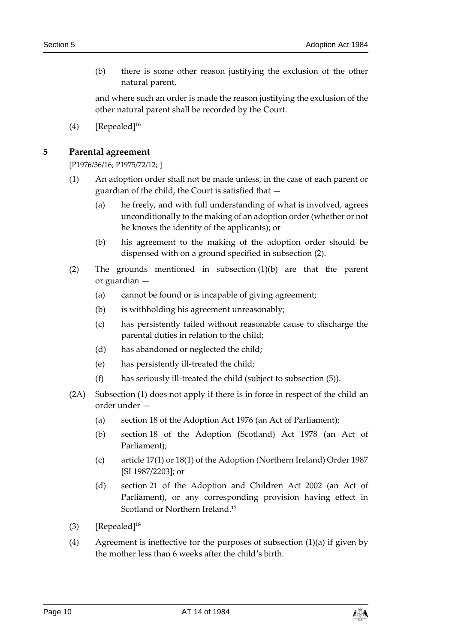(b) there is some other reason justifying the exclusion of the other natural parent,

and where such an order is made the reason justifying the exclusion of the other natural parent shall be recorded by the Court.

(4) [Repealed]**<sup>16</sup>**

#### <span id="page-9-0"></span>**5 Parental agreement**

[P1976/36/16: P1975/72/12: 1]

- (1) An adoption order shall not be made unless, in the case of each parent or guardian of the child, the Court is satisfied that —
	- (a) he freely, and with full understanding of what is involved, agrees unconditionally to the making of an adoption order (whether or not he knows the identity of the applicants); or
	- (b) his agreement to the making of the adoption order should be dispensed with on a ground specified in subsection (2).
- (2) The grounds mentioned in subsection (1)(b) are that the parent or guardian —
	- (a) cannot be found or is incapable of giving agreement;
	- (b) is withholding his agreement unreasonably;
	- (c) has persistently failed without reasonable cause to discharge the parental duties in relation to the child;
	- (d) has abandoned or neglected the child;
	- (e) has persistently ill-treated the child;
	- (f) has seriously ill-treated the child (subject to subsection (5)).
- (2A) Subsection (1) does not apply if there is in force in respect of the child an order under —
	- (a) section 18 of the Adoption Act 1976 (an Act of Parliament);
	- (b) section 18 of the Adoption (Scotland) Act 1978 (an Act of Parliament);
	- (c) article 17(1) or 18(1) of the Adoption (Northern Ireland) Order 1987 [SI 1987/2203]; or
	- (d) section 21 of the Adoption and Children Act 2002 (an Act of Parliament), or any corresponding provision having effect in Scotland or Northern Ireland.**<sup>17</sup>**
- (3) [Repealed]**<sup>18</sup>**
- (4) Agreement is ineffective for the purposes of subsection  $(1)(a)$  if given by the mother less than 6 weeks after the child's birth.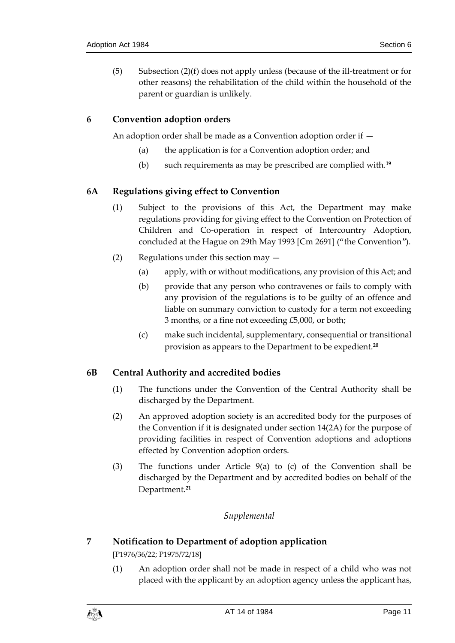(5) Subsection (2)(f) does not apply unless (because of the ill-treatment or for other reasons) the rehabilitation of the child within the household of the parent or guardian is unlikely.

### <span id="page-10-0"></span>**6 Convention adoption orders**

An adoption order shall be made as a Convention adoption order if —

- (a) the application is for a Convention adoption order; and
- (b) such requirements as may be prescribed are complied with.**<sup>19</sup>**

### <span id="page-10-1"></span>**6A Regulations giving effect to Convention**

- (1) Subject to the provisions of this Act, the Department may make regulations providing for giving effect to the Convention on Protection of Children and Co-operation in respect of Intercountry Adoption, concluded at the Hague on 29th May 1993 [Cm 2691] ("the Convention").
- (2) Regulations under this section may
	- (a) apply, with or without modifications, any provision of this Act; and
	- (b) provide that any person who contravenes or fails to comply with any provision of the regulations is to be guilty of an offence and liable on summary conviction to custody for a term not exceeding 3 months, or a fine not exceeding £5,000, or both;
	- (c) make such incidental, supplementary, consequential or transitional provision as appears to the Department to be expedient.**<sup>20</sup>**

# <span id="page-10-2"></span>**6B Central Authority and accredited bodies**

- (1) The functions under the Convention of the Central Authority shall be discharged by the Department.
- (2) An approved adoption society is an accredited body for the purposes of the Convention if it is designated under section 14(2A) for the purpose of providing facilities in respect of Convention adoptions and adoptions effected by Convention adoption orders.
- (3) The functions under Article 9(a) to (c) of the Convention shall be discharged by the Department and by accredited bodies on behalf of the Department.**<sup>21</sup>**

# *Supplemental*

# <span id="page-10-4"></span><span id="page-10-3"></span>**7 Notification to Department of adoption application**

[P1976/36/22; P1975/72/18]

(1) An adoption order shall not be made in respect of a child who was not placed with the applicant by an adoption agency unless the applicant has,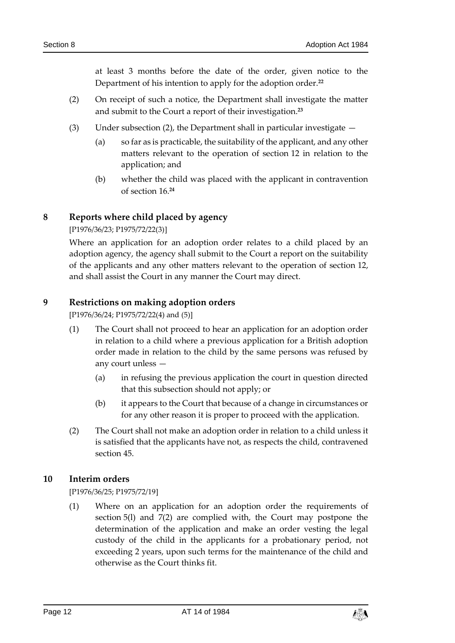at least 3 months before the date of the order, given notice to the Department of his intention to apply for the adoption order.**<sup>22</sup>**

- (2) On receipt of such a notice, the Department shall investigate the matter and submit to the Court a report of their investigation.**<sup>23</sup>**
- (3) Under subsection (2), the Department shall in particular investigate
	- (a) so far as is practicable, the suitability of the applicant, and any other matters relevant to the operation of section 12 in relation to the application; and
	- (b) whether the child was placed with the applicant in contravention of section 16.**<sup>24</sup>**

### <span id="page-11-0"></span>**8 Reports where child placed by agency**

### [P1976/36/23; P1975/72/22(3)]

Where an application for an adoption order relates to a child placed by an adoption agency, the agency shall submit to the Court a report on the suitability of the applicants and any other matters relevant to the operation of section 12, and shall assist the Court in any manner the Court may direct.

#### <span id="page-11-1"></span>**9 Restrictions on making adoption orders**

[P1976/36/24; P1975/72/22(4) and (5)]

- (1) The Court shall not proceed to hear an application for an adoption order in relation to a child where a previous application for a British adoption order made in relation to the child by the same persons was refused by any court unless —
	- (a) in refusing the previous application the court in question directed that this subsection should not apply; or
	- (b) it appears to the Court that because of a change in circumstances or for any other reason it is proper to proceed with the application.
- (2) The Court shall not make an adoption order in relation to a child unless it is satisfied that the applicants have not, as respects the child, contravened section 45.

#### <span id="page-11-2"></span>**10 Interim orders**

[P1976/36/25; P1975/72/19]

(1) Where on an application for an adoption order the requirements of section 5(l) and 7(2) are complied with, the Court may postpone the determination of the application and make an order vesting the legal custody of the child in the applicants for a probationary period, not exceeding 2 years, upon such terms for the maintenance of the child and otherwise as the Court thinks fit.

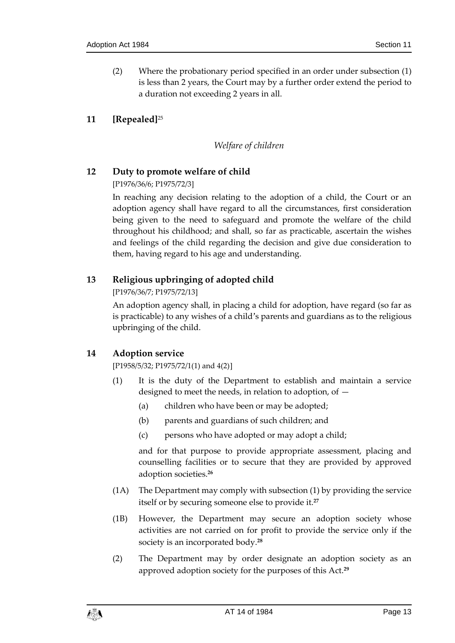(2) Where the probationary period specified in an order under subsection (1) is less than 2 years, the Court may by a further order extend the period to a duration not exceeding 2 years in all.

# <span id="page-12-1"></span><span id="page-12-0"></span>**11 [Repealed]**<sup>25</sup>

*Welfare of children*

#### <span id="page-12-2"></span>**12 Duty to promote welfare of child**

[P1976/36/6; P1975/72/3]

In reaching any decision relating to the adoption of a child, the Court or an adoption agency shall have regard to all the circumstances, first consideration being given to the need to safeguard and promote the welfare of the child throughout his childhood; and shall, so far as practicable, ascertain the wishes and feelings of the child regarding the decision and give due consideration to them, having regard to his age and understanding.

### <span id="page-12-3"></span>**13 Religious upbringing of adopted child**

[P1976/36/7; P1975/72/13]

An adoption agency shall, in placing a child for adoption, have regard (so far as is practicable) to any wishes of a child's parents and guardians as to the religious upbringing of the child.

# <span id="page-12-4"></span>**14 Adoption service**

[P1958/5/32; P1975/72/1(1) and 4(2)]

- (1) It is the duty of the Department to establish and maintain a service designed to meet the needs, in relation to adoption, of —
	- (a) children who have been or may be adopted;
	- (b) parents and guardians of such children; and
	- (c) persons who have adopted or may adopt a child;

and for that purpose to provide appropriate assessment, placing and counselling facilities or to secure that they are provided by approved adoption societies.**<sup>26</sup>**

- (1A) The Department may comply with subsection (1) by providing the service itself or by securing someone else to provide it.**<sup>27</sup>**
- (1B) However, the Department may secure an adoption society whose activities are not carried on for profit to provide the service only if the society is an incorporated body.**<sup>28</sup>**
- (2) The Department may by order designate an adoption society as an approved adoption society for the purposes of this Act.**29**

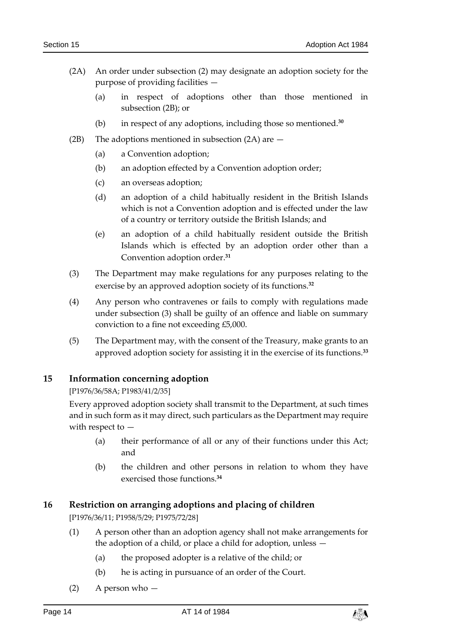- (2A) An order under subsection (2) may designate an adoption society for the purpose of providing facilities —
	- (a) in respect of adoptions other than those mentioned in subsection (2B); or
	- (b) in respect of any adoptions, including those so mentioned.**<sup>30</sup>**
- (2B) The adoptions mentioned in subsection  $(2A)$  are  $-$ 
	- (a) a Convention adoption;
	- (b) an adoption effected by a Convention adoption order;
	- (c) an overseas adoption;
	- (d) an adoption of a child habitually resident in the British Islands which is not a Convention adoption and is effected under the law of a country or territory outside the British Islands; and
	- (e) an adoption of a child habitually resident outside the British Islands which is effected by an adoption order other than a Convention adoption order.**<sup>31</sup>**
- (3) The Department may make regulations for any purposes relating to the exercise by an approved adoption society of its functions.**<sup>32</sup>**
- (4) Any person who contravenes or fails to comply with regulations made under subsection (3) shall be guilty of an offence and liable on summary conviction to a fine not exceeding £5,000.
- (5) The Department may, with the consent of the Treasury, make grants to an approved adoption society for assisting it in the exercise of its functions.**<sup>33</sup>**

#### <span id="page-13-0"></span>**15 Information concerning adoption**

#### [P1976/36/58A; P1983/41/2/35]

Every approved adoption society shall transmit to the Department, at such times and in such form as it may direct, such particulars as the Department may require with respect to —

- (a) their performance of all or any of their functions under this Act; and
- (b) the children and other persons in relation to whom they have exercised those functions.**<sup>34</sup>**

#### <span id="page-13-1"></span>**16 Restriction on arranging adoptions and placing of children**

[P1976/36/11; P1958/5/29; P1975/72/28]

- (1) A person other than an adoption agency shall not make arrangements for the adoption of a child, or place a child for adoption, unless —
	- (a) the proposed adopter is a relative of the child; or
	- (b) he is acting in pursuance of an order of the Court.
- (2) A person who  $-$

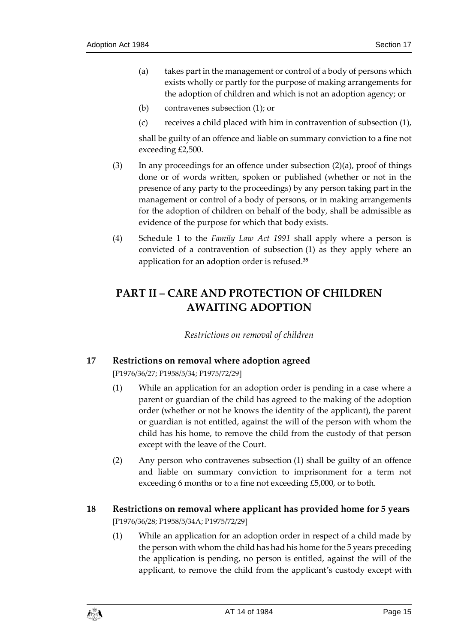- (a) takes part in the management or control of a body of persons which exists wholly or partly for the purpose of making arrangements for the adoption of children and which is not an adoption agency; or
- (b) contravenes subsection (1); or
- (c) receives a child placed with him in contravention of subsection (1),

shall be guilty of an offence and liable on summary conviction to a fine not exceeding £2,500.

- (3) In any proceedings for an offence under subsection  $(2)(a)$ , proof of things done or of words written, spoken or published (whether or not in the presence of any party to the proceedings) by any person taking part in the management or control of a body of persons, or in making arrangements for the adoption of children on behalf of the body, shall be admissible as evidence of the purpose for which that body exists.
- (4) Schedule 1 to the *Family Law Act 1991* shall apply where a person is convicted of a contravention of subsection (1) as they apply where an application for an adoption order is refused.**<sup>35</sup>**

# <span id="page-14-1"></span><span id="page-14-0"></span>**PART II – CARE AND PROTECTION OF CHILDREN AWAITING ADOPTION**

*Restrictions on removal of children*

#### <span id="page-14-2"></span>**17 Restrictions on removal where adoption agreed**

[P1976/36/27; P1958/5/34; P1975/72/29]

- (1) While an application for an adoption order is pending in a case where a parent or guardian of the child has agreed to the making of the adoption order (whether or not he knows the identity of the applicant), the parent or guardian is not entitled, against the will of the person with whom the child has his home, to remove the child from the custody of that person except with the leave of the Court.
- (2) Any person who contravenes subsection (1) shall be guilty of an offence and liable on summary conviction to imprisonment for a term not exceeding 6 months or to a fine not exceeding £5,000, or to both.
- <span id="page-14-3"></span>**18 Restrictions on removal where applicant has provided home for 5 years** [P1976/36/28; P1958/5/34A; P1975/72/29]
	- (1) While an application for an adoption order in respect of a child made by the person with whom the child has had his home for the 5 years preceding the application is pending, no person is entitled, against the will of the applicant, to remove the child from the applicant's custody except with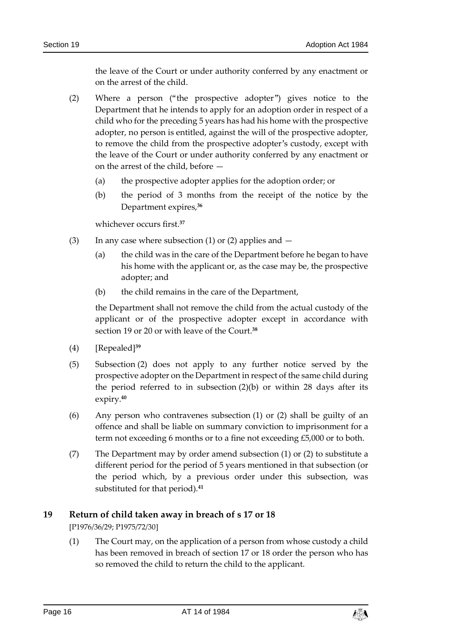the leave of the Court or under authority conferred by any enactment or on the arrest of the child.

- (2) Where a person ("the prospective adopter") gives notice to the Department that he intends to apply for an adoption order in respect of a child who for the preceding 5 years has had his home with the prospective adopter, no person is entitled, against the will of the prospective adopter, to remove the child from the prospective adopter's custody, except with the leave of the Court or under authority conferred by any enactment or on the arrest of the child, before —
	- (a) the prospective adopter applies for the adoption order; or
	- (b) the period of 3 months from the receipt of the notice by the Department expires,**<sup>36</sup>**

whichever occurs first.**<sup>37</sup>**

- (3) In any case where subsection (1) or (2) applies and  $-$ 
	- (a) the child was in the care of the Department before he began to have his home with the applicant or, as the case may be, the prospective adopter; and
	- (b) the child remains in the care of the Department,

the Department shall not remove the child from the actual custody of the applicant or of the prospective adopter except in accordance with section 19 or 20 or with leave of the Court.**<sup>38</sup>**

- (4) [Repealed]**<sup>39</sup>**
- (5) Subsection (2) does not apply to any further notice served by the prospective adopter on the Department in respect of the same child during the period referred to in subsection  $(2)(b)$  or within 28 days after its expiry.**<sup>40</sup>**
- (6) Any person who contravenes subsection (1) or (2) shall be guilty of an offence and shall be liable on summary conviction to imprisonment for a term not exceeding 6 months or to a fine not exceeding £5,000 or to both.
- (7) The Department may by order amend subsection (1) or (2) to substitute a different period for the period of 5 years mentioned in that subsection (or the period which, by a previous order under this subsection, was substituted for that period).**<sup>41</sup>**

#### <span id="page-15-0"></span>**19 Return of child taken away in breach of s 17 or 18**

[P1976/36/29; P1975/72/30]

(1) The Court may, on the application of a person from whose custody a child has been removed in breach of section 17 or 18 order the person who has so removed the child to return the child to the applicant.

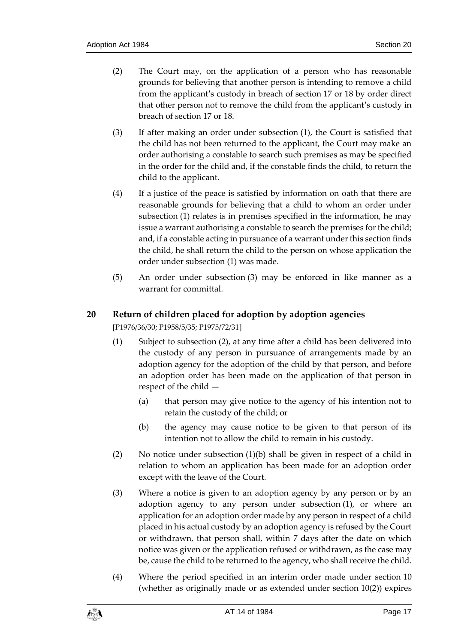- (2) The Court may, on the application of a person who has reasonable grounds for believing that another person is intending to remove a child from the applicant's custody in breach of section 17 or 18 by order direct that other person not to remove the child from the applicant's custody in breach of section 17 or 18.
- (3) If after making an order under subsection (1), the Court is satisfied that the child has not been returned to the applicant, the Court may make an order authorising a constable to search such premises as may be specified in the order for the child and, if the constable finds the child, to return the child to the applicant.
- (4) If a justice of the peace is satisfied by information on oath that there are reasonable grounds for believing that a child to whom an order under subsection (1) relates is in premises specified in the information, he may issue a warrant authorising a constable to search the premises for the child; and, if a constable acting in pursuance of a warrant under this section finds the child, he shall return the child to the person on whose application the order under subsection (1) was made.
- (5) An order under subsection (3) may be enforced in like manner as a warrant for committal.

# <span id="page-16-0"></span>**20 Return of children placed for adoption by adoption agencies**

[P1976/36/30; P1958/5/35; P1975/72/31]

- (1) Subject to subsection (2), at any time after a child has been delivered into the custody of any person in pursuance of arrangements made by an adoption agency for the adoption of the child by that person, and before an adoption order has been made on the application of that person in respect of the child —
	- (a) that person may give notice to the agency of his intention not to retain the custody of the child; or
	- (b) the agency may cause notice to be given to that person of its intention not to allow the child to remain in his custody.
- (2) No notice under subsection (1)(b) shall be given in respect of a child in relation to whom an application has been made for an adoption order except with the leave of the Court.
- (3) Where a notice is given to an adoption agency by any person or by an adoption agency to any person under subsection (1), or where an application for an adoption order made by any person in respect of a child placed in his actual custody by an adoption agency is refused by the Court or withdrawn, that person shall, within 7 days after the date on which notice was given or the application refused or withdrawn, as the case may be, cause the child to be returned to the agency, who shall receive the child.
- (4) Where the period specified in an interim order made under section 10 (whether as originally made or as extended under section 10(2)) expires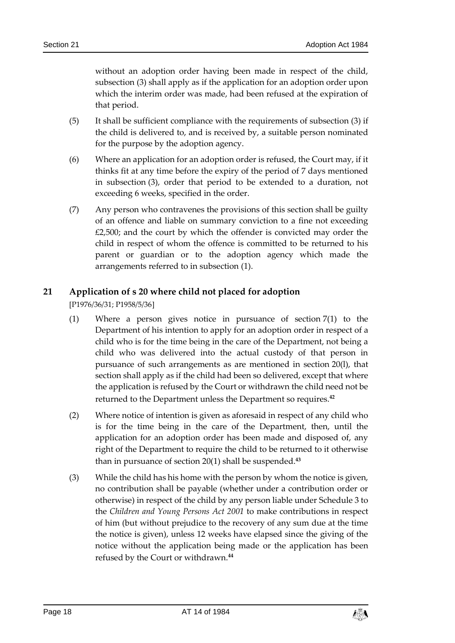without an adoption order having been made in respect of the child, subsection (3) shall apply as if the application for an adoption order upon which the interim order was made, had been refused at the expiration of that period.

- (5) It shall be sufficient compliance with the requirements of subsection (3) if the child is delivered to, and is received by, a suitable person nominated for the purpose by the adoption agency.
- (6) Where an application for an adoption order is refused, the Court may, if it thinks fit at any time before the expiry of the period of 7 days mentioned in subsection (3), order that period to be extended to a duration, not exceeding 6 weeks, specified in the order.
- (7) Any person who contravenes the provisions of this section shall be guilty of an offence and liable on summary conviction to a fine not exceeding £2,500; and the court by which the offender is convicted may order the child in respect of whom the offence is committed to be returned to his parent or guardian or to the adoption agency which made the arrangements referred to in subsection (1).

### <span id="page-17-0"></span>**21 Application of s 20 where child not placed for adoption**

[P1976/36/31; P1958/5/36]

- (1) Where a person gives notice in pursuance of section 7(1) to the Department of his intention to apply for an adoption order in respect of a child who is for the time being in the care of the Department, not being a child who was delivered into the actual custody of that person in pursuance of such arrangements as are mentioned in section 20(l), that section shall apply as if the child had been so delivered, except that where the application is refused by the Court or withdrawn the child need not be returned to the Department unless the Department so requires.**<sup>42</sup>**
- (2) Where notice of intention is given as aforesaid in respect of any child who is for the time being in the care of the Department, then, until the application for an adoption order has been made and disposed of, any right of the Department to require the child to be returned to it otherwise than in pursuance of section 20(1) shall be suspended.**<sup>43</sup>**
- (3) While the child has his home with the person by whom the notice is given, no contribution shall be payable (whether under a contribution order or otherwise) in respect of the child by any person liable under Schedule 3 to the *Children and Young Persons Act 2001* to make contributions in respect of him (but without prejudice to the recovery of any sum due at the time the notice is given), unless 12 weeks have elapsed since the giving of the notice without the application being made or the application has been refused by the Court or withdrawn.**44**

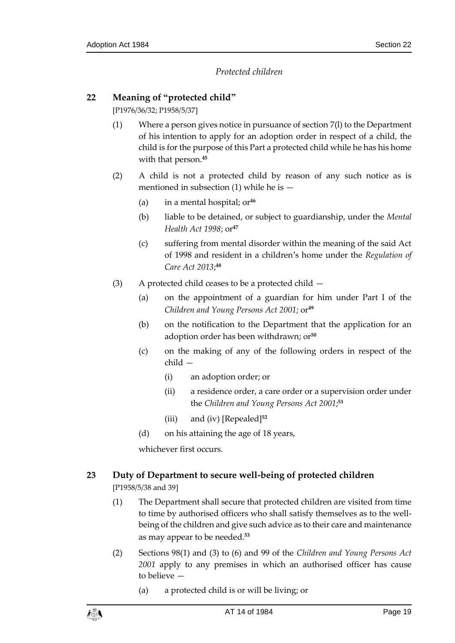### *Protected children*

# <span id="page-18-1"></span><span id="page-18-0"></span>**22 Meaning of "protected child"**

[P1976/36/32; P1958/5/37]

- (1) Where a person gives notice in pursuance of section 7(l) to the Department of his intention to apply for an adoption order in respect of a child, the child is for the purpose of this Part a protected child while he has his home with that person.**<sup>45</sup>**
- (2) A child is not a protected child by reason of any such notice as is mentioned in subsection (1) while he is —
	- (a) in a mental hospital; or**<sup>46</sup>**
	- (b) liable to be detained, or subject to guardianship, under the *Mental Health Act 1998*; or**<sup>47</sup>**
	- (c) suffering from mental disorder within the meaning of the said Act of 1998 and resident in a children's home under the *Regulation of Care Act 2013*; **48**
- (3) A protected child ceases to be a protected child
	- (a) on the appointment of a guardian for him under Part I of the *Children and Young Persons Act 2001*; or**<sup>49</sup>**
	- (b) on the notification to the Department that the application for an adoption order has been withdrawn; or**<sup>50</sup>**
	- (c) on the making of any of the following orders in respect of the child —
		- (i) an adoption order; or
		- (ii) a residence order, a care order or a supervision order under the *Children and Young Persons Act 2001*; **51**
		- (iii) and (iv) [Repealed]**<sup>52</sup>**
	- (d) on his attaining the age of 18 years,

whichever first occurs.

# <span id="page-18-2"></span>**23 Duty of Department to secure well-being of protected children**

[P1958/5/38 and 39]

- (1) The Department shall secure that protected children are visited from time to time by authorised officers who shall satisfy themselves as to the wellbeing of the children and give such advice as to their care and maintenance as may appear to be needed.**<sup>53</sup>**
- (2) Sections 98(1) and (3) to (6) and 99 of the *Children and Young Persons Act 2001* apply to any premises in which an authorised officer has cause to believe —
	- (a) a protected child is or will be living; or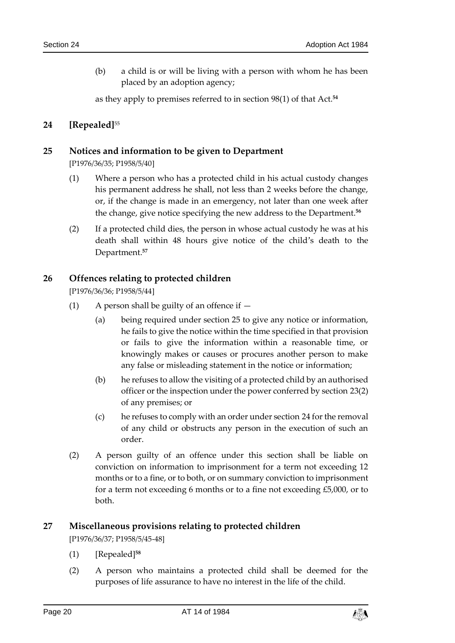(b) a child is or will be living with a person with whom he has been placed by an adoption agency;

as they apply to premises referred to in section 98(1) of that Act.**<sup>54</sup>**

### <span id="page-19-0"></span>**24 [Repealed]**<sup>55</sup>

#### <span id="page-19-1"></span>**25 Notices and information to be given to Department**

[P1976/36/35; P1958/5/40]

- (1) Where a person who has a protected child in his actual custody changes his permanent address he shall, not less than 2 weeks before the change, or, if the change is made in an emergency, not later than one week after the change, give notice specifying the new address to the Department.**<sup>56</sup>**
- (2) If a protected child dies, the person in whose actual custody he was at his death shall within 48 hours give notice of the child's death to the Department.**<sup>57</sup>**

#### <span id="page-19-2"></span>**26 Offences relating to protected children**

[P1976/36/36; P1958/5/44]

- (1) A person shall be guilty of an offence if  $-$ 
	- (a) being required under section 25 to give any notice or information, he fails to give the notice within the time specified in that provision or fails to give the information within a reasonable time, or knowingly makes or causes or procures another person to make any false or misleading statement in the notice or information;
	- (b) he refuses to allow the visiting of a protected child by an authorised officer or the inspection under the power conferred by section 23(2) of any premises; or
	- (c) he refuses to comply with an order under section 24 for the removal of any child or obstructs any person in the execution of such an order.
- (2) A person guilty of an offence under this section shall be liable on conviction on information to imprisonment for a term not exceeding 12 months or to a fine, or to both, or on summary conviction to imprisonment for a term not exceeding 6 months or to a fine not exceeding £5,000, or to both.

#### <span id="page-19-3"></span>**27 Miscellaneous provisions relating to protected children**

[P1976/36/37; P1958/5/45-48]

- (1) [Repealed]**<sup>58</sup>**
- (2) A person who maintains a protected child shall be deemed for the purposes of life assurance to have no interest in the life of the child.

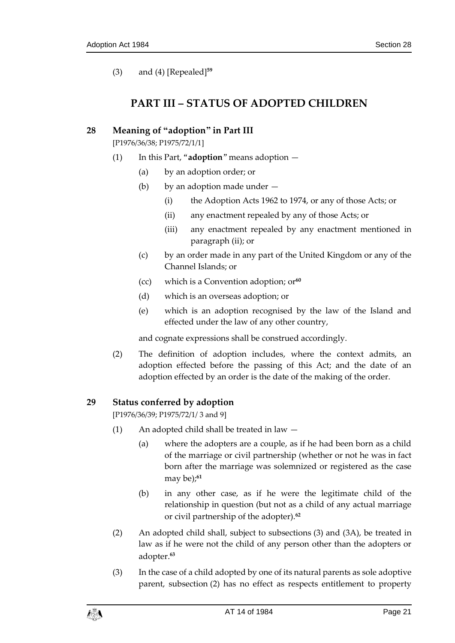<span id="page-20-0"></span>(3) and (4) [Repealed]**<sup>59</sup>**

# **PART III – STATUS OF ADOPTED CHILDREN**

# <span id="page-20-1"></span>**28 Meaning of "adoption" in Part III**

[P1976/36/38; P1975/72/1/1]

- (1) In this Part, "**adoption**" means adoption
	- (a) by an adoption order; or
	- (b) by an adoption made under
		- (i) the Adoption Acts 1962 to 1974, or any of those Acts; or
		- (ii) any enactment repealed by any of those Acts; or
		- (iii) any enactment repealed by any enactment mentioned in paragraph (ii); or
	- (c) by an order made in any part of the United Kingdom or any of the Channel Islands; or
	- (cc) which is a Convention adoption; or**<sup>60</sup>**
	- (d) which is an overseas adoption; or
	- (e) which is an adoption recognised by the law of the Island and effected under the law of any other country,

and cognate expressions shall be construed accordingly.

(2) The definition of adoption includes, where the context admits, an adoption effected before the passing of this Act; and the date of an adoption effected by an order is the date of the making of the order.

# <span id="page-20-2"></span>**29 Status conferred by adoption**

[P1976/36/39; P1975/72/1/ 3 and 9]

- (1) An adopted child shall be treated in law
	- (a) where the adopters are a couple, as if he had been born as a child of the marriage or civil partnership (whether or not he was in fact born after the marriage was solemnized or registered as the case may be);**<sup>61</sup>**
	- (b) in any other case, as if he were the legitimate child of the relationship in question (but not as a child of any actual marriage or civil partnership of the adopter).**<sup>62</sup>**
- (2) An adopted child shall, subject to subsections (3) and (3A), be treated in law as if he were not the child of any person other than the adopters or adopter.**<sup>63</sup>**
- (3) In the case of a child adopted by one of its natural parents as sole adoptive parent, subsection (2) has no effect as respects entitlement to property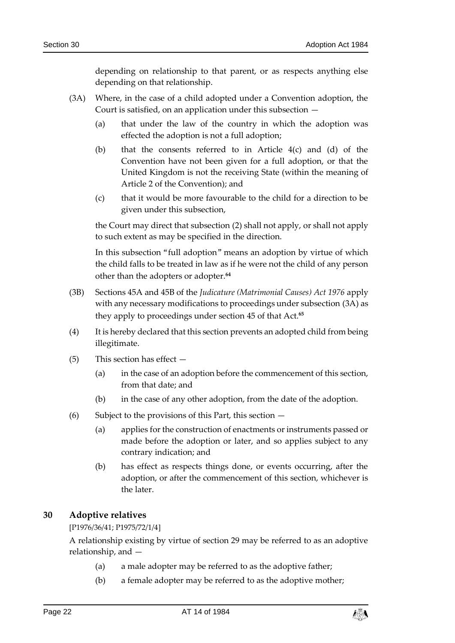depending on relationship to that parent, or as respects anything else depending on that relationship.

- (3A) Where, in the case of a child adopted under a Convention adoption, the Court is satisfied, on an application under this subsection —
	- (a) that under the law of the country in which the adoption was effected the adoption is not a full adoption;
	- (b) that the consents referred to in Article 4(c) and (d) of the Convention have not been given for a full adoption, or that the United Kingdom is not the receiving State (within the meaning of Article 2 of the Convention); and
	- (c) that it would be more favourable to the child for a direction to be given under this subsection,

the Court may direct that subsection (2) shall not apply, or shall not apply to such extent as may be specified in the direction.

In this subsection "full adoption" means an adoption by virtue of which the child falls to be treated in law as if he were not the child of any person other than the adopters or adopter.**<sup>64</sup>**

- (3B) Sections 45A and 45B of the *Judicature (Matrimonial Causes) Act 1976* apply with any necessary modifications to proceedings under subsection (3A) as they apply to proceedings under section 45 of that Act.**<sup>65</sup>**
- (4) It is hereby declared that this section prevents an adopted child from being illegitimate.
- (5) This section has effect
	- (a) in the case of an adoption before the commencement of this section, from that date; and
	- (b) in the case of any other adoption, from the date of the adoption.
- (6) Subject to the provisions of this Part, this section  $-$ 
	- (a) applies for the construction of enactments or instruments passed or made before the adoption or later, and so applies subject to any contrary indication; and
	- (b) has effect as respects things done, or events occurring, after the adoption, or after the commencement of this section, whichever is the later.

#### <span id="page-21-0"></span>**30 Adoptive relatives**

[P1976/36/41; P1975/72/1/4]

A relationship existing by virtue of section 29 may be referred to as an adoptive relationship, and —

- (a) a male adopter may be referred to as the adoptive father;
- (b) a female adopter may be referred to as the adoptive mother;

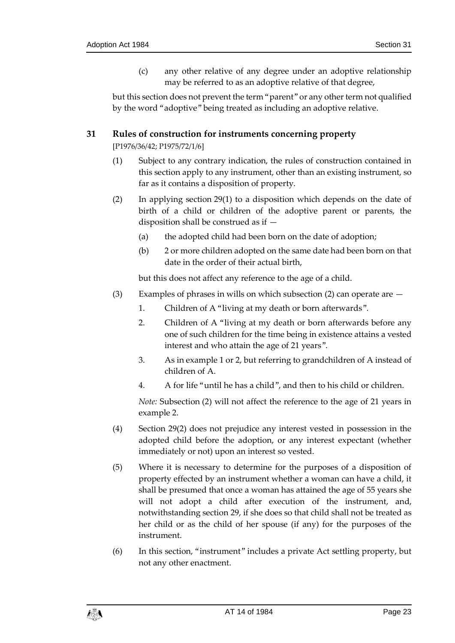(c) any other relative of any degree under an adoptive relationship may be referred to as an adoptive relative of that degree,

but this section does not prevent the term "parent" or any other term not qualified by the word "adoptive" being treated as including an adoptive relative.

# <span id="page-22-0"></span>**31 Rules of construction for instruments concerning property**

[P1976/36/42; P1975/72/1/6]

- (1) Subject to any contrary indication, the rules of construction contained in this section apply to any instrument, other than an existing instrument, so far as it contains a disposition of property.
- (2) In applying section 29(1) to a disposition which depends on the date of birth of a child or children of the adoptive parent or parents, the disposition shall be construed as if —
	- (a) the adopted child had been born on the date of adoption;
	- (b) 2 or more children adopted on the same date had been born on that date in the order of their actual birth,

but this does not affect any reference to the age of a child.

- (3) Examples of phrases in wills on which subsection (2) can operate are
	- 1. Children of A "living at my death or born afterwards".
	- 2. Children of A "living at my death or born afterwards before any one of such children for the time being in existence attains a vested interest and who attain the age of 21 years".
	- 3. As in example 1 or 2, but referring to grandchildren of A instead of children of A.
	- 4. A for life "until he has a child", and then to his child or children.

*Note:* Subsection (2) will not affect the reference to the age of 21 years in example 2.

- (4) Section 29(2) does not prejudice any interest vested in possession in the adopted child before the adoption, or any interest expectant (whether immediately or not) upon an interest so vested.
- (5) Where it is necessary to determine for the purposes of a disposition of property effected by an instrument whether a woman can have a child, it shall be presumed that once a woman has attained the age of 55 years she will not adopt a child after execution of the instrument, and, notwithstanding section 29, if she does so that child shall not be treated as her child or as the child of her spouse (if any) for the purposes of the instrument.
- (6) In this section, "instrument" includes a private Act settling property, but not any other enactment.

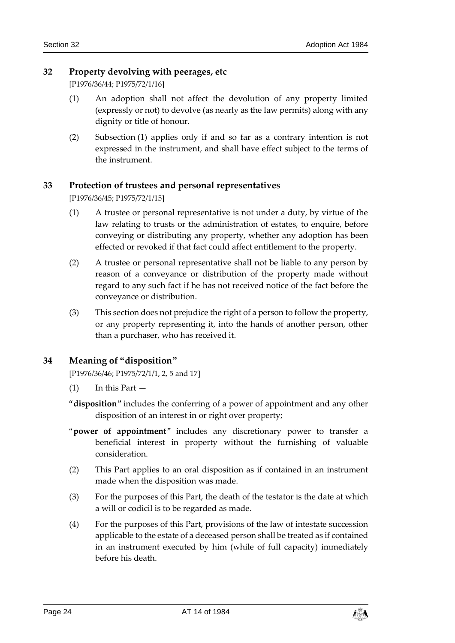# <span id="page-23-0"></span>**32 Property devolving with peerages, etc**

[P1976/36/44; P1975/72/1/16]

- (1) An adoption shall not affect the devolution of any property limited (expressly or not) to devolve (as nearly as the law permits) along with any dignity or title of honour.
- (2) Subsection (1) applies only if and so far as a contrary intention is not expressed in the instrument, and shall have effect subject to the terms of the instrument.

### <span id="page-23-1"></span>**33 Protection of trustees and personal representatives**

[P1976/36/45; P1975/72/1/15]

- (1) A trustee or personal representative is not under a duty, by virtue of the law relating to trusts or the administration of estates, to enquire, before conveying or distributing any property, whether any adoption has been effected or revoked if that fact could affect entitlement to the property.
- (2) A trustee or personal representative shall not be liable to any person by reason of a conveyance or distribution of the property made without regard to any such fact if he has not received notice of the fact before the conveyance or distribution.
- (3) This section does not prejudice the right of a person to follow the property, or any property representing it, into the hands of another person, other than a purchaser, who has received it.

# <span id="page-23-2"></span>**34 Meaning of "disposition"**

[P1976/36/46; P1975/72/1/1, 2, 5 and 17]

- $(1)$  In this Part  $-$
- "**disposition**" includes the conferring of a power of appointment and any other disposition of an interest in or right over property;
- "**power of appointment**" includes any discretionary power to transfer a beneficial interest in property without the furnishing of valuable consideration.
- (2) This Part applies to an oral disposition as if contained in an instrument made when the disposition was made.
- (3) For the purposes of this Part, the death of the testator is the date at which a will or codicil is to be regarded as made.
- (4) For the purposes of this Part, provisions of the law of intestate succession applicable to the estate of a deceased person shall be treated as if contained in an instrument executed by him (while of full capacity) immediately before his death.

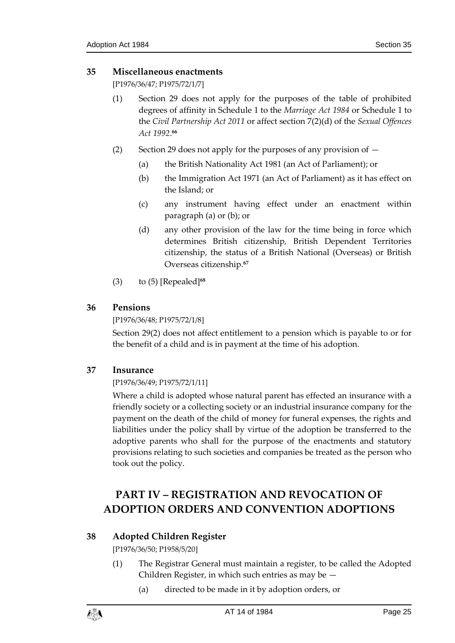#### <span id="page-24-0"></span>**35 Miscellaneous enactments**

[P1976/36/47; P1975/72/1/7]

- (1) Section 29 does not apply for the purposes of the table of prohibited degrees of affinity in Schedule 1 to the *Marriage Act 1984* or Schedule 1 to the *Civil Partnership Act 2011* or affect section 7(2)(d) of the *Sexual Offences Act 1992*. **66**
- (2) Section 29 does not apply for the purposes of any provision of
	- (a) the British Nationality Act 1981 (an Act of Parliament); or
	- (b) the Immigration Act 1971 (an Act of Parliament) as it has effect on the Island; or
	- (c) any instrument having effect under an enactment within paragraph (a) or (b); or
	- (d) any other provision of the law for the time being in force which determines British citizenship, British Dependent Territories citizenship, the status of a British National (Overseas) or British Overseas citizenship.**<sup>67</sup>**
- (3) to (5) [Repealed]**<sup>68</sup>**

# <span id="page-24-1"></span>**36 Pensions**

[P1976/36/48; P1975/72/1/8]

Section 29(2) does not affect entitlement to a pension which is payable to or for the benefit of a child and is in payment at the time of his adoption.

# <span id="page-24-2"></span>**37 Insurance**

#### [P1976/36/49; P1975/72/1/11]

Where a child is adopted whose natural parent has effected an insurance with a friendly society or a collecting society or an industrial insurance company for the payment on the death of the child of money for funeral expenses, the rights and liabilities under the policy shall by virtue of the adoption be transferred to the adoptive parents who shall for the purpose of the enactments and statutory provisions relating to such societies and companies be treated as the person who took out the policy.

# <span id="page-24-3"></span>**PART IV – REGISTRATION AND REVOCATION OF ADOPTION ORDERS AND CONVENTION ADOPTIONS**

#### <span id="page-24-4"></span>**38 Adopted Children Register**

[P1976/36/50; P1958/5/20]

- (1) The Registrar General must maintain a register, to be called the Adopted Children Register, in which such entries as may be —
	- (a) directed to be made in it by adoption orders, or

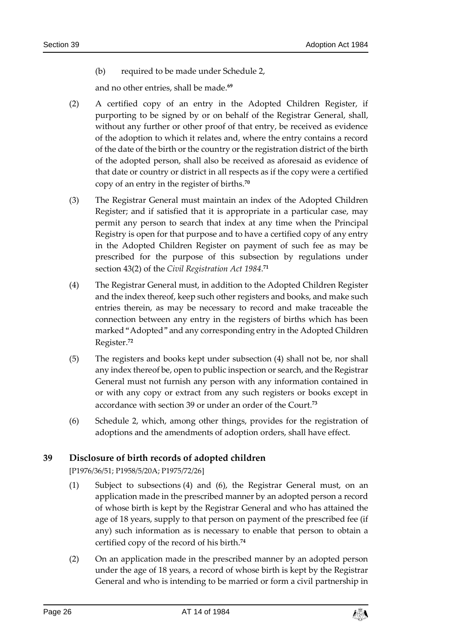(b) required to be made under Schedule 2,

and no other entries, shall be made.**<sup>69</sup>**

- (2) A certified copy of an entry in the Adopted Children Register, if purporting to be signed by or on behalf of the Registrar General, shall, without any further or other proof of that entry, be received as evidence of the adoption to which it relates and, where the entry contains a record of the date of the birth or the country or the registration district of the birth of the adopted person, shall also be received as aforesaid as evidence of that date or country or district in all respects as if the copy were a certified copy of an entry in the register of births.**<sup>70</sup>**
- (3) The Registrar General must maintain an index of the Adopted Children Register; and if satisfied that it is appropriate in a particular case, may permit any person to search that index at any time when the Principal Registry is open for that purpose and to have a certified copy of any entry in the Adopted Children Register on payment of such fee as may be prescribed for the purpose of this subsection by regulations under section 43(2) of the *Civil Registration Act 1984*. **71**
- (4) The Registrar General must, in addition to the Adopted Children Register and the index thereof, keep such other registers and books, and make such entries therein, as may be necessary to record and make traceable the connection between any entry in the registers of births which has been marked "Adopted" and any corresponding entry in the Adopted Children Register.**<sup>72</sup>**
- (5) The registers and books kept under subsection (4) shall not be, nor shall any index thereof be, open to public inspection or search, and the Registrar General must not furnish any person with any information contained in or with any copy or extract from any such registers or books except in accordance with section 39 or under an order of the Court.**<sup>73</sup>**
- (6) Schedule 2, which, among other things, provides for the registration of adoptions and the amendments of adoption orders, shall have effect.

# <span id="page-25-0"></span>**39 Disclosure of birth records of adopted children**

[P1976/36/51; P1958/5/20A; P1975/72/26]

- (1) Subject to subsections (4) and (6), the Registrar General must, on an application made in the prescribed manner by an adopted person a record of whose birth is kept by the Registrar General and who has attained the age of 18 years, supply to that person on payment of the prescribed fee (if any) such information as is necessary to enable that person to obtain a certified copy of the record of his birth.**<sup>74</sup>**
- (2) On an application made in the prescribed manner by an adopted person under the age of 18 years, a record of whose birth is kept by the Registrar General and who is intending to be married or form a civil partnership in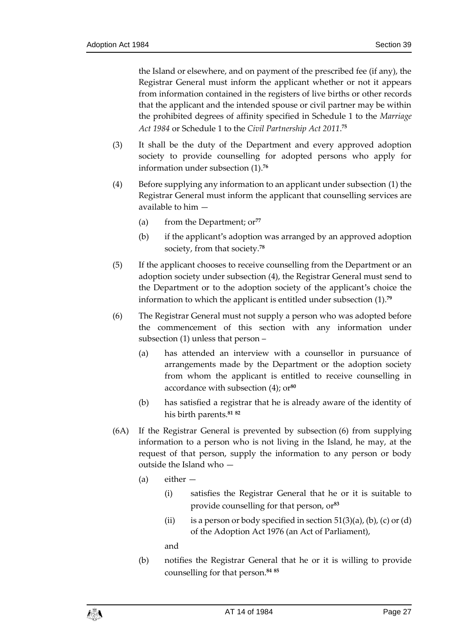the Island or elsewhere, and on payment of the prescribed fee (if any), the Registrar General must inform the applicant whether or not it appears from information contained in the registers of live births or other records that the applicant and the intended spouse or civil partner may be within the prohibited degrees of affinity specified in Schedule 1 to the *Marriage Act 1984* or Schedule 1 to the *Civil Partnership Act 2011*. **75**

- (3) It shall be the duty of the Department and every approved adoption society to provide counselling for adopted persons who apply for information under subsection (1).**<sup>76</sup>**
- (4) Before supplying any information to an applicant under subsection (1) the Registrar General must inform the applicant that counselling services are available to him —
	- (a) from the Department; or**<sup>77</sup>**
	- (b) if the applicant's adoption was arranged by an approved adoption society, from that society.**<sup>78</sup>**
- (5) If the applicant chooses to receive counselling from the Department or an adoption society under subsection (4), the Registrar General must send to the Department or to the adoption society of the applicant's choice the information to which the applicant is entitled under subsection (1).**<sup>79</sup>**
- (6) The Registrar General must not supply a person who was adopted before the commencement of this section with any information under subsection (1) unless that person –
	- (a) has attended an interview with a counsellor in pursuance of arrangements made by the Department or the adoption society from whom the applicant is entitled to receive counselling in accordance with subsection (4); or<sup>80</sup>
	- (b) has satisfied a registrar that he is already aware of the identity of his birth parents. **81 82**
- (6A) If the Registrar General is prevented by subsection (6) from supplying information to a person who is not living in the Island, he may, at the request of that person, supply the information to any person or body outside the Island who —
	- (a) either
		- (i) satisfies the Registrar General that he or it is suitable to provide counselling for that person, or**<sup>83</sup>**
		- (ii) is a person or body specified in section  $51(3)(a)$ , (b), (c) or (d) of the Adoption Act 1976 (an Act of Parliament),

and

(b) notifies the Registrar General that he or it is willing to provide counselling for that person.**<sup>84</sup> <sup>85</sup>**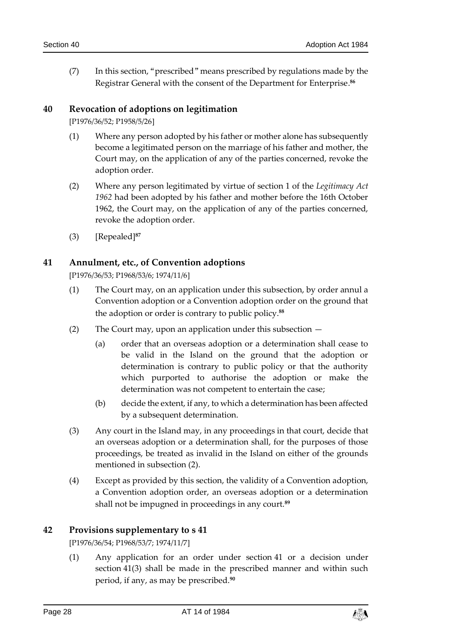(7) In this section, "prescribed" means prescribed by regulations made by the Registrar General with the consent of the Department for Enterprise. **86**

#### <span id="page-27-0"></span>**40 Revocation of adoptions on legitimation**

[P1976/36/52; P1958/5/26]

- (1) Where any person adopted by his father or mother alone has subsequently become a legitimated person on the marriage of his father and mother, the Court may, on the application of any of the parties concerned, revoke the adoption order.
- (2) Where any person legitimated by virtue of section 1 of the *Legitimacy Act 1962* had been adopted by his father and mother before the 16th October 1962, the Court may, on the application of any of the parties concerned, revoke the adoption order.
- (3) [Repealed]**<sup>87</sup>**

#### <span id="page-27-1"></span>**41 Annulment, etc., of Convention adoptions**

[P1976/36/53; P1968/53/6; 1974/11/6]

- (1) The Court may, on an application under this subsection, by order annul a Convention adoption or a Convention adoption order on the ground that the adoption or order is contrary to public policy.**<sup>88</sup>**
- (2) The Court may, upon an application under this subsection
	- (a) order that an overseas adoption or a determination shall cease to be valid in the Island on the ground that the adoption or determination is contrary to public policy or that the authority which purported to authorise the adoption or make the determination was not competent to entertain the case;
	- (b) decide the extent, if any, to which a determination has been affected by a subsequent determination.
- (3) Any court in the Island may, in any proceedings in that court, decide that an overseas adoption or a determination shall, for the purposes of those proceedings, be treated as invalid in the Island on either of the grounds mentioned in subsection (2).
- (4) Except as provided by this section, the validity of a Convention adoption, a Convention adoption order, an overseas adoption or a determination shall not be impugned in proceedings in any court.**<sup>89</sup>**

#### <span id="page-27-2"></span>**42 Provisions supplementary to s 41**

[P1976/36/54; P1968/53/7; 1974/11/7]

(1) Any application for an order under section 41 or a decision under section 41(3) shall be made in the prescribed manner and within such period, if any, as may be prescribed.**90**

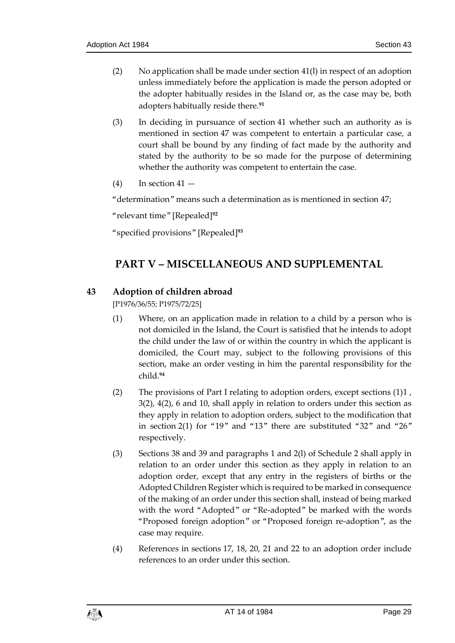- (2) No application shall be made under section 41(l) in respect of an adoption unless immediately before the application is made the person adopted or the adopter habitually resides in the Island or, as the case may be, both adopters habitually reside there.**<sup>91</sup>**
- (3) In deciding in pursuance of section 41 whether such an authority as is mentioned in section 47 was competent to entertain a particular case, a court shall be bound by any finding of fact made by the authority and stated by the authority to be so made for the purpose of determining whether the authority was competent to entertain the case.

 $(4)$  In section  $41 -$ 

"determination" means such a determination as is mentioned in section 47;

"relevant time" [Repealed]**<sup>92</sup>**

<span id="page-28-0"></span>"specified provisions" [Repealed]**<sup>93</sup>**

# **PART V – MISCELLANEOUS AND SUPPLEMENTAL**

# <span id="page-28-1"></span>**43 Adoption of children abroad**

[P1976/36/55; P1975/72/25]

- (1) Where, on an application made in relation to a child by a person who is not domiciled in the Island, the Court is satisfied that he intends to adopt the child under the law of or within the country in which the applicant is domiciled, the Court may, subject to the following provisions of this section, make an order vesting in him the parental responsibility for the child.**<sup>94</sup>**
- (2) The provisions of Part I relating to adoption orders, except sections (1)1 , 3(2), 4(2), 6 and 10, shall apply in relation to orders under this section as they apply in relation to adoption orders, subject to the modification that in section 2(1) for "19" and "13" there are substituted "32" and "26" respectively.
- (3) Sections 38 and 39 and paragraphs 1 and 2(l) of Schedule 2 shall apply in relation to an order under this section as they apply in relation to an adoption order, except that any entry in the registers of births or the Adopted Children Register which is required to be marked in consequence of the making of an order under this section shall, instead of being marked with the word "Adopted" or "Re-adopted" be marked with the words "Proposed foreign adoption" or "Proposed foreign re-adoption", as the case may require.
- (4) References in sections 17, 18, 20, 21 and 22 to an adoption order include references to an order under this section.

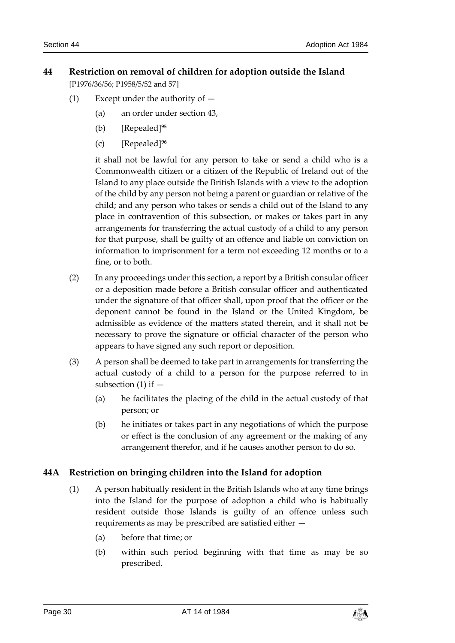# <span id="page-29-0"></span>**44 Restriction on removal of children for adoption outside the Island**

[P1976/36/56; P1958/5/52 and 57]

- (1) Except under the authority of
	- (a) an order under section 43,
	- (b) [Repealed]**<sup>95</sup>**
	- (c) [Repealed]**<sup>96</sup>**

it shall not be lawful for any person to take or send a child who is a Commonwealth citizen or a citizen of the Republic of Ireland out of the Island to any place outside the British Islands with a view to the adoption of the child by any person not being a parent or guardian or relative of the child; and any person who takes or sends a child out of the Island to any place in contravention of this subsection, or makes or takes part in any arrangements for transferring the actual custody of a child to any person for that purpose, shall be guilty of an offence and liable on conviction on information to imprisonment for a term not exceeding 12 months or to a fine, or to both.

- (2) In any proceedings under this section, a report by a British consular officer or a deposition made before a British consular officer and authenticated under the signature of that officer shall, upon proof that the officer or the deponent cannot be found in the Island or the United Kingdom, be admissible as evidence of the matters stated therein, and it shall not be necessary to prove the signature or official character of the person who appears to have signed any such report or deposition.
- (3) A person shall be deemed to take part in arrangements for transferring the actual custody of a child to a person for the purpose referred to in subsection  $(1)$  if  $-$ 
	- (a) he facilitates the placing of the child in the actual custody of that person; or
	- (b) he initiates or takes part in any negotiations of which the purpose or effect is the conclusion of any agreement or the making of any arrangement therefor, and if he causes another person to do so.

#### <span id="page-29-1"></span>**44A Restriction on bringing children into the Island for adoption**

- (1) A person habitually resident in the British Islands who at any time brings into the Island for the purpose of adoption a child who is habitually resident outside those Islands is guilty of an offence unless such requirements as may be prescribed are satisfied either —
	- (a) before that time; or
	- (b) within such period beginning with that time as may be so prescribed.

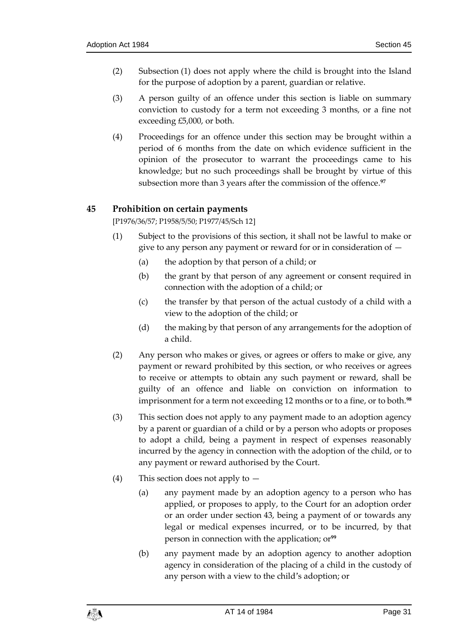- (2) Subsection (1) does not apply where the child is brought into the Island for the purpose of adoption by a parent, guardian or relative.
- (3) A person guilty of an offence under this section is liable on summary conviction to custody for a term not exceeding 3 months, or a fine not exceeding £5,000, or both.
- (4) Proceedings for an offence under this section may be brought within a period of 6 months from the date on which evidence sufficient in the opinion of the prosecutor to warrant the proceedings came to his knowledge; but no such proceedings shall be brought by virtue of this subsection more than 3 years after the commission of the offence.**<sup>97</sup>**

#### <span id="page-30-0"></span>**45 Prohibition on certain payments**

[P1976/36/57; P1958/5/50; P1977/45/Sch 12]

- (1) Subject to the provisions of this section, it shall not be lawful to make or give to any person any payment or reward for or in consideration of  $-$ 
	- (a) the adoption by that person of a child; or
	- (b) the grant by that person of any agreement or consent required in connection with the adoption of a child; or
	- (c) the transfer by that person of the actual custody of a child with a view to the adoption of the child; or
	- (d) the making by that person of any arrangements for the adoption of a child.
- (2) Any person who makes or gives, or agrees or offers to make or give, any payment or reward prohibited by this section, or who receives or agrees to receive or attempts to obtain any such payment or reward, shall be guilty of an offence and liable on conviction on information to imprisonment for a term not exceeding 12 months or to a fine, or to both.**<sup>98</sup>**
- (3) This section does not apply to any payment made to an adoption agency by a parent or guardian of a child or by a person who adopts or proposes to adopt a child, being a payment in respect of expenses reasonably incurred by the agency in connection with the adoption of the child, or to any payment or reward authorised by the Court.
- (4) This section does not apply to
	- (a) any payment made by an adoption agency to a person who has applied, or proposes to apply, to the Court for an adoption order or an order under section 43, being a payment of or towards any legal or medical expenses incurred, or to be incurred, by that person in connection with the application; or**<sup>99</sup>**
	- (b) any payment made by an adoption agency to another adoption agency in consideration of the placing of a child in the custody of any person with a view to the child's adoption; or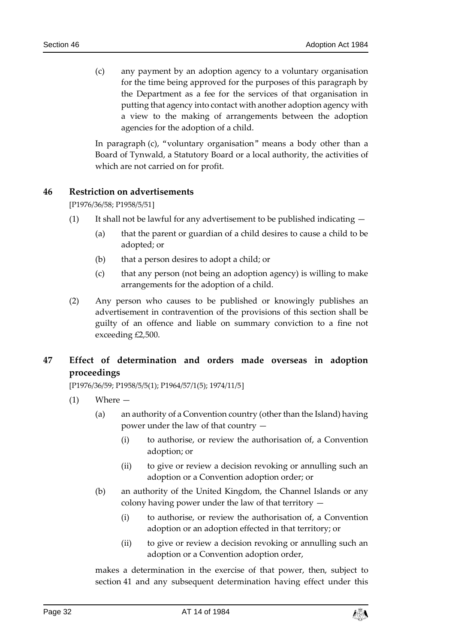(c) any payment by an adoption agency to a voluntary organisation for the time being approved for the purposes of this paragraph by the Department as a fee for the services of that organisation in putting that agency into contact with another adoption agency with a view to the making of arrangements between the adoption agencies for the adoption of a child.

In paragraph (c), "voluntary organisation" means a body other than a Board of Tynwald, a Statutory Board or a local authority, the activities of which are not carried on for profit.

#### <span id="page-31-0"></span>**46 Restriction on advertisements**

[P1976/36/58; P1958/5/51]

- (1) It shall not be lawful for any advertisement to be published indicating
	- (a) that the parent or guardian of a child desires to cause a child to be adopted; or
	- (b) that a person desires to adopt a child; or
	- (c) that any person (not being an adoption agency) is willing to make arrangements for the adoption of a child.
- (2) Any person who causes to be published or knowingly publishes an advertisement in contravention of the provisions of this section shall be guilty of an offence and liable on summary conviction to a fine not exceeding £2,500.

### <span id="page-31-1"></span>**47 Effect of determination and orders made overseas in adoption proceedings**

[P1976/36/59; P1958/5/5(1); P1964/57/1(5); 1974/11/5]

- (1) Where
	- (a) an authority of a Convention country (other than the Island) having power under the law of that country —
		- (i) to authorise, or review the authorisation of, a Convention adoption; or
		- (ii) to give or review a decision revoking or annulling such an adoption or a Convention adoption order; or
	- (b) an authority of the United Kingdom, the Channel Islands or any colony having power under the law of that territory  $-$ 
		- (i) to authorise, or review the authorisation of, a Convention adoption or an adoption effected in that territory; or
		- (ii) to give or review a decision revoking or annulling such an adoption or a Convention adoption order,

makes a determination in the exercise of that power, then, subject to section 41 and any subsequent determination having effect under this

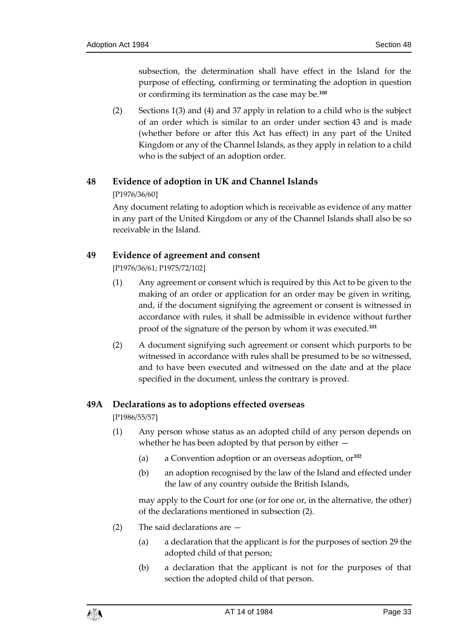subsection, the determination shall have effect in the Island for the purpose of effecting, confirming or terminating the adoption in question or confirming its termination as the case may be.**<sup>100</sup>**

(2) Sections 1(3) and (4) and 37 apply in relation to a child who is the subject of an order which is similar to an order under section 43 and is made (whether before or after this Act has effect) in any part of the United Kingdom or any of the Channel Islands, as they apply in relation to a child who is the subject of an adoption order.

#### <span id="page-32-0"></span>**48 Evidence of adoption in UK and Channel Islands**

#### [P1976/36/60]

Any document relating to adoption which is receivable as evidence of any matter in any part of the United Kingdom or any of the Channel Islands shall also be so receivable in the Island.

#### <span id="page-32-1"></span>**49 Evidence of agreement and consent**

[P1976/36/61; P1975/72/102]

- (1) Any agreement or consent which is required by this Act to be given to the making of an order or application for an order may be given in writing, and, if the document signifying the agreement or consent is witnessed in accordance with rules, it shall be admissible in evidence without further proof of the signature of the person by whom it was executed.**<sup>101</sup>**
- (2) A document signifying such agreement or consent which purports to be witnessed in accordance with rules shall be presumed to be so witnessed, and to have been executed and witnessed on the date and at the place specified in the document, unless the contrary is proved.

#### <span id="page-32-2"></span>**49A Declarations as to adoptions effected overseas**

[P1986/55/57]

- (1) Any person whose status as an adopted child of any person depends on whether he has been adopted by that person by either —
	- (a) a Convention adoption or an overseas adoption, or**<sup>102</sup>**
	- (b) an adoption recognised by the law of the Island and effected under the law of any country outside the British Islands,

may apply to the Court for one (or for one or, in the alternative, the other) of the declarations mentioned in subsection (2).

- (2) The said declarations are
	- (a) a declaration that the applicant is for the purposes of section 29 the adopted child of that person;
	- (b) a declaration that the applicant is not for the purposes of that section the adopted child of that person.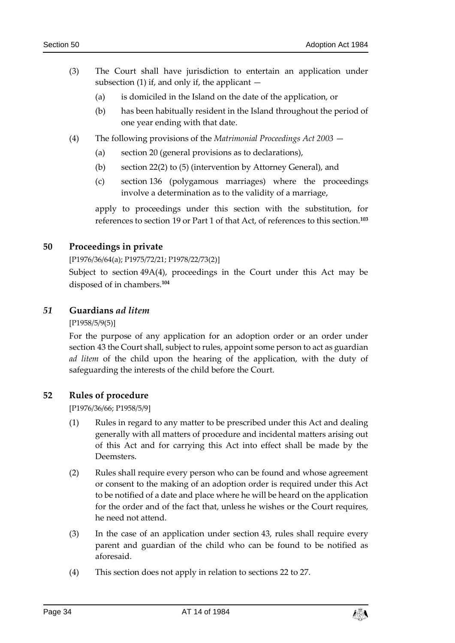- (3) The Court shall have jurisdiction to entertain an application under subsection (1) if, and only if, the applicant  $-$ 
	- (a) is domiciled in the Island on the date of the application, or
	- (b) has been habitually resident in the Island throughout the period of one year ending with that date.
- (4) The following provisions of the *Matrimonial Proceedings Act 2003*
	- (a) section 20 (general provisions as to declarations),
	- (b) section 22(2) to (5) (intervention by Attorney General), and
	- (c) section 136 (polygamous marriages) where the proceedings involve a determination as to the validity of a marriage,

apply to proceedings under this section with the substitution, for references to section 19 or Part 1 of that Act, of references to this section.**<sup>103</sup>**

#### <span id="page-33-0"></span>**50 Proceedings in private**

[P1976/36/64(a); P1975/72/21; P1978/22/73(2)]

Subject to section 49A(4), proceedings in the Court under this Act may be disposed of in chambers.**<sup>104</sup>**

#### <span id="page-33-1"></span>*51* **Guardians** *ad litem*

[P1958/5/9(5)]

For the purpose of any application for an adoption order or an order under section 43 the Court shall, subject to rules, appoint some person to act as guardian *ad litem* of the child upon the hearing of the application, with the duty of safeguarding the interests of the child before the Court.

#### <span id="page-33-2"></span>**52 Rules of procedure**

[P1976/36/66; P1958/5/9]

- (1) Rules in regard to any matter to be prescribed under this Act and dealing generally with all matters of procedure and incidental matters arising out of this Act and for carrying this Act into effect shall be made by the Deemsters.
- (2) Rules shall require every person who can be found and whose agreement or consent to the making of an adoption order is required under this Act to be notified of a date and place where he will be heard on the application for the order and of the fact that, unless he wishes or the Court requires, he need not attend.
- (3) In the case of an application under section 43, rules shall require every parent and guardian of the child who can be found to be notified as aforesaid.
- (4) This section does not apply in relation to sections 22 to 27.

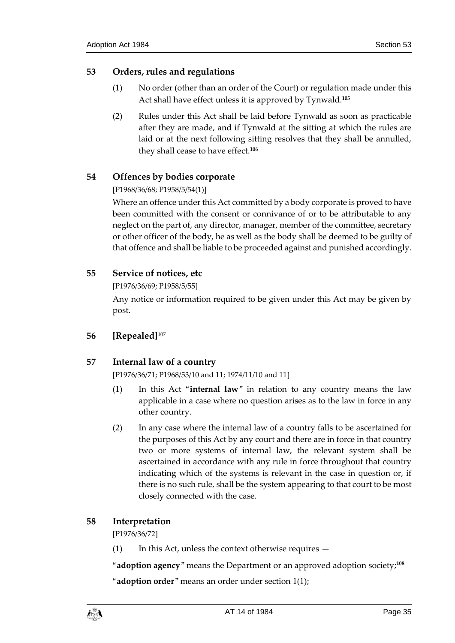### <span id="page-34-0"></span>**53 Orders, rules and regulations**

- (1) No order (other than an order of the Court) or regulation made under this Act shall have effect unless it is approved by Tynwald.**<sup>105</sup>**
- (2) Rules under this Act shall be laid before Tynwald as soon as practicable after they are made, and if Tynwald at the sitting at which the rules are laid or at the next following sitting resolves that they shall be annulled, they shall cease to have effect.**<sup>106</sup>**

# <span id="page-34-1"></span>**54 Offences by bodies corporate**

### [P1968/36/68; P1958/5/54(1)]

Where an offence under this Act committed by a body corporate is proved to have been committed with the consent or connivance of or to be attributable to any neglect on the part of, any director, manager, member of the committee, secretary or other officer of the body, he as well as the body shall be deemed to be guilty of that offence and shall be liable to be proceeded against and punished accordingly.

# <span id="page-34-2"></span>**55 Service of notices, etc**

[P1976/36/69; P1958/5/55]

Any notice or information required to be given under this Act may be given by post.

# <span id="page-34-3"></span>**56 [Repealed]**<sup>107</sup>

# <span id="page-34-4"></span>**57 Internal law of a country**

[P1976/36/71; P1968/53/10 and 11; 1974/11/10 and 11]

- (1) In this Act "**internal law**" in relation to any country means the law applicable in a case where no question arises as to the law in force in any other country.
- (2) In any case where the internal law of a country falls to be ascertained for the purposes of this Act by any court and there are in force in that country two or more systems of internal law, the relevant system shall be ascertained in accordance with any rule in force throughout that country indicating which of the systems is relevant in the case in question or, if there is no such rule, shall be the system appearing to that court to be most closely connected with the case.

# <span id="page-34-5"></span>**58 Interpretation**

[P1976/36/72]

(1) In this Act, unless the context otherwise requires —

"**adoption agency**" means the Department or an approved adoption society;**<sup>108</sup>**

"**adoption order**" means an order under section 1(1);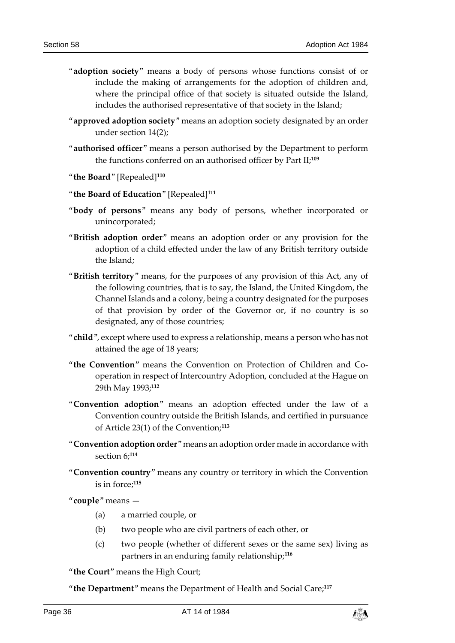- "**adoption society**" means a body of persons whose functions consist of or include the making of arrangements for the adoption of children and, where the principal office of that society is situated outside the Island, includes the authorised representative of that society in the Island;
- "**approved adoption society**" means an adoption society designated by an order under section 14(2);
- "**authorised officer**" means a person authorised by the Department to perform the functions conferred on an authorised officer by Part II;**<sup>109</sup>**
- "**the Board**" [Repealed]**<sup>110</sup>**
- "**the Board of Education**" [Repealed]**<sup>111</sup>**
- "**body of persons**" means any body of persons, whether incorporated or unincorporated;
- "**British adoption order**" means an adoption order or any provision for the adoption of a child effected under the law of any British territory outside the Island;
- "**British territory**" means, for the purposes of any provision of this Act, any of the following countries, that is to say, the Island, the United Kingdom, the Channel Islands and a colony, being a country designated for the purposes of that provision by order of the Governor or, if no country is so designated, any of those countries;
- "**child**", except where used to express a relationship, means a person who has not attained the age of 18 years;
- "**the Convention**" means the Convention on Protection of Children and Cooperation in respect of Intercountry Adoption, concluded at the Hague on 29th May 1993;**<sup>112</sup>**
- "**Convention adoption**" means an adoption effected under the law of a Convention country outside the British Islands, and certified in pursuance of Article 23(1) of the Convention;**<sup>113</sup>**
- "**Convention adoption order**" means an adoption order made in accordance with section 6;**<sup>114</sup>**
- "**Convention country**" means any country or territory in which the Convention is in force;**<sup>115</sup>**

"**couple**" means —

- (a) a married couple, or
- (b) two people who are civil partners of each other, or
- (c) two people (whether of different sexes or the same sex) living as partners in an enduring family relationship;**<sup>116</sup>**

"**the Court**" means the High Court;

"**the Department**" means the Department of Health and Social Care;**117**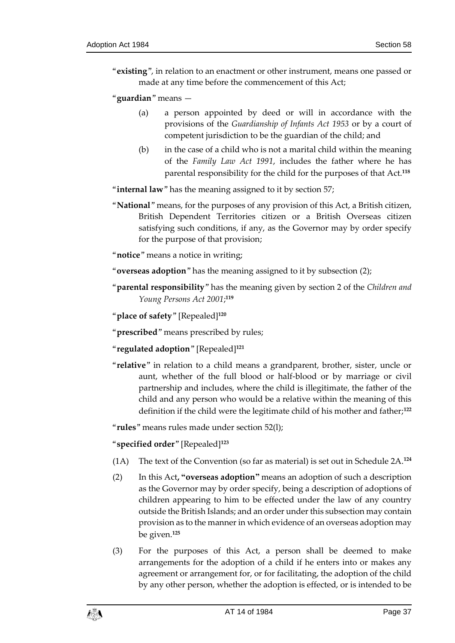"**existing**", in relation to an enactment or other instrument, means one passed or made at any time before the commencement of this Act;

"**guardian**" means —

- (a) a person appointed by deed or will in accordance with the provisions of the *Guardianship of Infants Act 1953* or by a court of competent jurisdiction to be the guardian of the child; and
- (b) in the case of a child who is not a marital child within the meaning of the *Family Law Act 1991*, includes the father where he has parental responsibility for the child for the purposes of that Act.**<sup>118</sup>**
- "**internal law**" has the meaning assigned to it by section 57;
- "**National**" means, for the purposes of any provision of this Act, a British citizen, British Dependent Territories citizen or a British Overseas citizen satisfying such conditions, if any, as the Governor may by order specify for the purpose of that provision;
- "**notice**" means a notice in writing;
- "**overseas adoption**" has the meaning assigned to it by subsection (2);
- "**parental responsibility**" has the meaning given by section 2 of the *Children and Young Persons Act 2001*; **119**

"**place of safety**" [Repealed]**<sup>120</sup>**

"**prescribed**" means prescribed by rules;

- "**regulated adoption**" [Repealed]**<sup>121</sup>**
- "**relative**" in relation to a child means a grandparent, brother, sister, uncle or aunt, whether of the full blood or half-blood or by marriage or civil partnership and includes, where the child is illegitimate, the father of the child and any person who would be a relative within the meaning of this definition if the child were the legitimate child of his mother and father;**<sup>122</sup>**

"**rules**" means rules made under section 52(l);

"**specified order**" [Repealed]**<sup>123</sup>**

- (1A) The text of the Convention (so far as material) is set out in Schedule 2A.**<sup>124</sup>**
- (2) In this Act**, "overseas adoption"** means an adoption of such a description as the Governor may by order specify, being a description of adoptions of children appearing to him to be effected under the law of any country outside the British Islands; and an order under this subsection may contain provision as to the manner in which evidence of an overseas adoption may be given.**<sup>125</sup>**
- (3) For the purposes of this Act, a person shall be deemed to make arrangements for the adoption of a child if he enters into or makes any agreement or arrangement for, or for facilitating, the adoption of the child by any other person, whether the adoption is effected, or is intended to be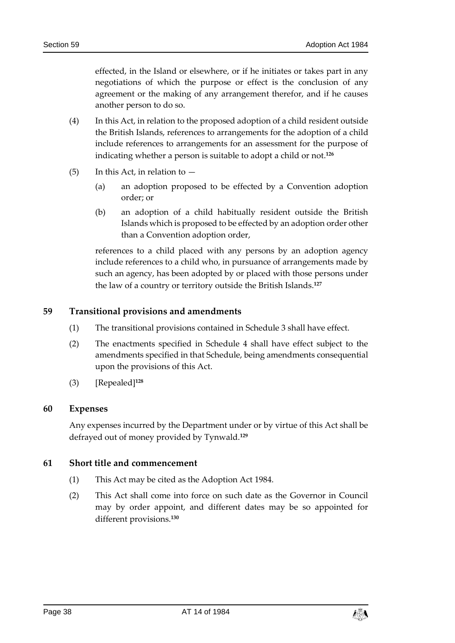effected, in the Island or elsewhere, or if he initiates or takes part in any negotiations of which the purpose or effect is the conclusion of any agreement or the making of any arrangement therefor, and if he causes another person to do so.

- (4) In this Act, in relation to the proposed adoption of a child resident outside the British Islands, references to arrangements for the adoption of a child include references to arrangements for an assessment for the purpose of indicating whether a person is suitable to adopt a child or not.**<sup>126</sup>**
- (5) In this Act, in relation to  $-$ 
	- (a) an adoption proposed to be effected by a Convention adoption order; or
	- (b) an adoption of a child habitually resident outside the British Islands which is proposed to be effected by an adoption order other than a Convention adoption order,

references to a child placed with any persons by an adoption agency include references to a child who, in pursuance of arrangements made by such an agency, has been adopted by or placed with those persons under the law of a country or territory outside the British Islands.**<sup>127</sup>**

#### <span id="page-37-0"></span>**59 Transitional provisions and amendments**

- (1) The transitional provisions contained in Schedule 3 shall have effect.
- (2) The enactments specified in Schedule 4 shall have effect subject to the amendments specified in that Schedule, being amendments consequential upon the provisions of this Act.
- (3) [Repealed]**<sup>128</sup>**

#### <span id="page-37-1"></span>**60 Expenses**

Any expenses incurred by the Department under or by virtue of this Act shall be defrayed out of money provided by Tynwald.**<sup>129</sup>**

#### <span id="page-37-2"></span>**61 Short title and commencement**

- (1) This Act may be cited as the Adoption Act 1984.
- (2) This Act shall come into force on such date as the Governor in Council may by order appoint, and different dates may be so appointed for different provisions.**130**

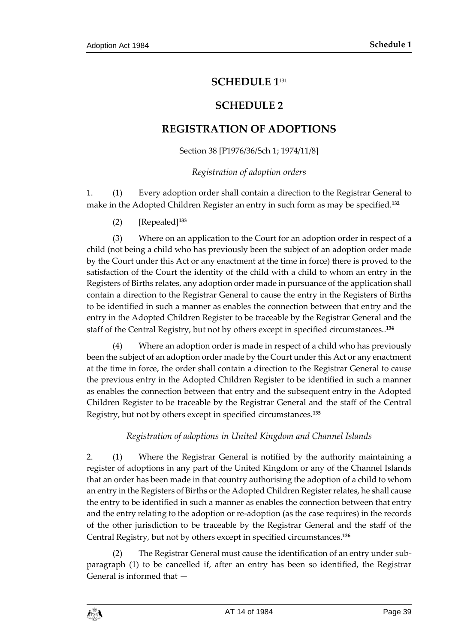# **SCHEDULE 1**<sup>131</sup>

# **SCHEDULE 2**

# <span id="page-38-1"></span><span id="page-38-0"></span>**REGISTRATION OF ADOPTIONS**

#### Section 38 [P1976/36/Sch 1; 1974/11/8]

*Registration of adoption orders*

<span id="page-38-2"></span>1. (1) Every adoption order shall contain a direction to the Registrar General to make in the Adopted Children Register an entry in such form as may be specified. **132**

(2) [Repealed]**<sup>133</sup>**

(3) Where on an application to the Court for an adoption order in respect of a child (not being a child who has previously been the subject of an adoption order made by the Court under this Act or any enactment at the time in force) there is proved to the satisfaction of the Court the identity of the child with a child to whom an entry in the Registers of Births relates, any adoption order made in pursuance of the application shall contain a direction to the Registrar General to cause the entry in the Registers of Births to be identified in such a manner as enables the connection between that entry and the entry in the Adopted Children Register to be traceable by the Registrar General and the staff of the Central Registry, but not by others except in specified circumstances.. **134**

(4) Where an adoption order is made in respect of a child who has previously been the subject of an adoption order made by the Court under this Act or any enactment at the time in force, the order shall contain a direction to the Registrar General to cause the previous entry in the Adopted Children Register to be identified in such a manner as enables the connection between that entry and the subsequent entry in the Adopted Children Register to be traceable by the Registrar General and the staff of the Central Registry, but not by others except in specified circumstances.**<sup>135</sup>**

# *Registration of adoptions in United Kingdom and Channel Islands*

2. (1) Where the Registrar General is notified by the authority maintaining a register of adoptions in any part of the United Kingdom or any of the Channel Islands that an order has been made in that country authorising the adoption of a child to whom an entry in the Registers of Births or the Adopted Children Register relates, he shall cause the entry to be identified in such a manner as enables the connection between that entry and the entry relating to the adoption or re-adoption (as the case requires) in the records of the other jurisdiction to be traceable by the Registrar General and the staff of the Central Registry, but not by others except in specified circumstances.**<sup>136</sup>**

(2) The Registrar General must cause the identification of an entry under subparagraph (1) to be cancelled if, after an entry has been so identified, the Registrar General is informed that —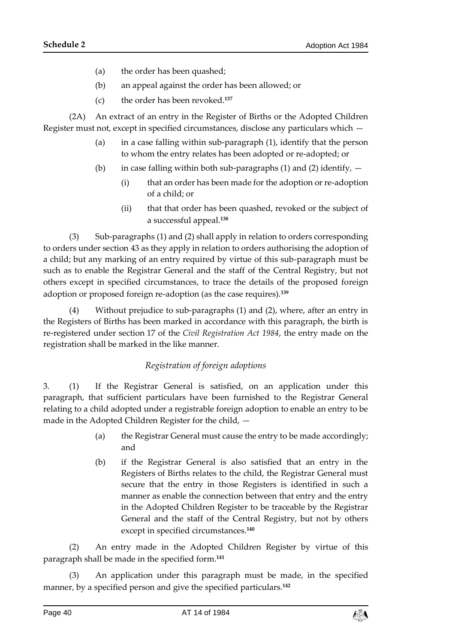- (a) the order has been quashed;
- (b) an appeal against the order has been allowed; or
- (c) the order has been revoked.**<sup>137</sup>**

(2A) An extract of an entry in the Register of Births or the Adopted Children Register must not, except in specified circumstances, disclose any particulars which —

- (a) in a case falling within sub-paragraph (1), identify that the person to whom the entry relates has been adopted or re-adopted; or
- (b) in case falling within both sub-paragraphs (1) and (2) identify,  $-$ 
	- (i) that an order has been made for the adoption or re-adoption of a child; or
	- (ii) that that order has been quashed, revoked or the subject of a successful appeal.**<sup>138</sup>**

(3) Sub-paragraphs (1) and (2) shall apply in relation to orders corresponding to orders under section 43 as they apply in relation to orders authorising the adoption of a child; but any marking of an entry required by virtue of this sub-paragraph must be such as to enable the Registrar General and the staff of the Central Registry, but not others except in specified circumstances, to trace the details of the proposed foreign adoption or proposed foreign re-adoption (as the case requires).**<sup>139</sup>**

(4) Without prejudice to sub-paragraphs (1) and (2), where, after an entry in the Registers of Births has been marked in accordance with this paragraph, the birth is re-registered under section 17 of the *Civil Registration Act 1984*, the entry made on the registration shall be marked in the like manner.

#### *Registration of foreign adoptions*

3. (1) If the Registrar General is satisfied, on an application under this paragraph, that sufficient particulars have been furnished to the Registrar General relating to a child adopted under a registrable foreign adoption to enable an entry to be made in the Adopted Children Register for the child, —

- (a) the Registrar General must cause the entry to be made accordingly; and
- (b) if the Registrar General is also satisfied that an entry in the Registers of Births relates to the child, the Registrar General must secure that the entry in those Registers is identified in such a manner as enable the connection between that entry and the entry in the Adopted Children Register to be traceable by the Registrar General and the staff of the Central Registry, but not by others except in specified circumstances.**<sup>140</sup>**

(2) An entry made in the Adopted Children Register by virtue of this paragraph shall be made in the specified form.**<sup>141</sup>**

(3) An application under this paragraph must be made, in the specified manner, by a specified person and give the specified particulars.**<sup>142</sup>**

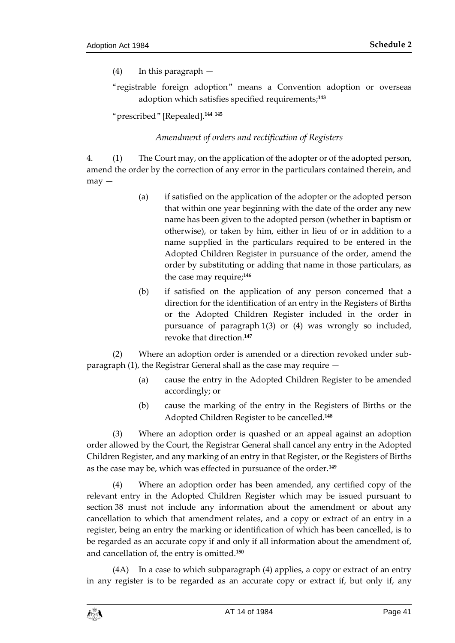- (4) In this paragraph —
- "registrable foreign adoption" means a Convention adoption or overseas adoption which satisfies specified requirements;**<sup>143</sup>**

"prescribed" [Repealed]. **144 145**

*Amendment of orders and rectification of Registers*

4. (1) The Court may, on the application of the adopter or of the adopted person, amend the order by the correction of any error in the particulars contained therein, and  $may -$ 

- (a) if satisfied on the application of the adopter or the adopted person that within one year beginning with the date of the order any new name has been given to the adopted person (whether in baptism or otherwise), or taken by him, either in lieu of or in addition to a name supplied in the particulars required to be entered in the Adopted Children Register in pursuance of the order, amend the order by substituting or adding that name in those particulars, as the case may require;**<sup>146</sup>**
- (b) if satisfied on the application of any person concerned that a direction for the identification of an entry in the Registers of Births or the Adopted Children Register included in the order in pursuance of paragraph 1(3) or (4) was wrongly so included, revoke that direction.**<sup>147</sup>**

(2) Where an adoption order is amended or a direction revoked under subparagraph (1), the Registrar General shall as the case may require —

- (a) cause the entry in the Adopted Children Register to be amended accordingly; or
- (b) cause the marking of the entry in the Registers of Births or the Adopted Children Register to be cancelled.**<sup>148</sup>**

(3) Where an adoption order is quashed or an appeal against an adoption order allowed by the Court, the Registrar General shall cancel any entry in the Adopted Children Register, and any marking of an entry in that Register, or the Registers of Births as the case may be, which was effected in pursuance of the order.**<sup>149</sup>**

(4) Where an adoption order has been amended, any certified copy of the relevant entry in the Adopted Children Register which may be issued pursuant to section 38 must not include any information about the amendment or about any cancellation to which that amendment relates, and a copy or extract of an entry in a register, being an entry the marking or identification of which has been cancelled, is to be regarded as an accurate copy if and only if all information about the amendment of, and cancellation of, the entry is omitted. **150**

(4A) In a case to which subparagraph (4) applies, a copy or extract of an entry in any register is to be regarded as an accurate copy or extract if, but only if, any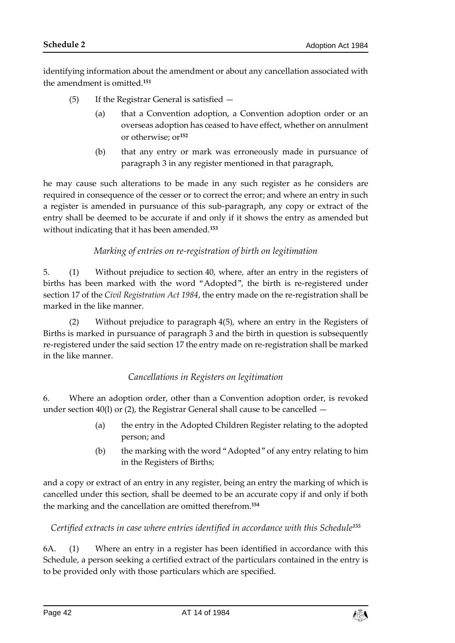identifying information about the amendment or about any cancellation associated with the amendment is omitted.**<sup>151</sup>**

- (5) If the Registrar General is satisfied
	- (a) that a Convention adoption, a Convention adoption order or an overseas adoption has ceased to have effect, whether on annulment or otherwise; or**<sup>152</sup>**
	- (b) that any entry or mark was erroneously made in pursuance of paragraph 3 in any register mentioned in that paragraph,

he may cause such alterations to be made in any such register as he considers are required in consequence of the cesser or to correct the error; and where an entry in such a register is amended in pursuance of this sub-paragraph, any copy or extract of the entry shall be deemed to be accurate if and only if it shows the entry as amended but without indicating that it has been amended.**<sup>153</sup>**

# *Marking of entries on re-registration of birth on legitimation*

5. (1) Without prejudice to section 40, where, after an entry in the registers of births has been marked with the word "Adopted", the birth is re-registered under section 17 of the *Civil Registration Act 1984*, the entry made on the re-registration shall be marked in the like manner.

(2) Without prejudice to paragraph 4(5), where an entry in the Registers of Births is marked in pursuance of paragraph 3 and the birth in question is subsequently re-registered under the said section 17 the entry made on re-registration shall be marked in the like manner.

#### *Cancellations in Registers on legitimation*

6. Where an adoption order, other than a Convention adoption order, is revoked under section 40(l) or (2), the Registrar General shall cause to be cancelled  $-$ 

- (a) the entry in the Adopted Children Register relating to the adopted person; and
- (b) the marking with the word "Adopted" of any entry relating to him in the Registers of Births;

and a copy or extract of an entry in any register, being an entry the marking of which is cancelled under this section, shall be deemed to be an accurate copy if and only if both the marking and the cancellation are omitted therefrom.**<sup>154</sup>**

# *Certified extracts in case where entries identified in accordance with this Schedule<sup>155</sup>*

6A. (1) Where an entry in a register has been identified in accordance with this Schedule, a person seeking a certified extract of the particulars contained in the entry is to be provided only with those particulars which are specified.

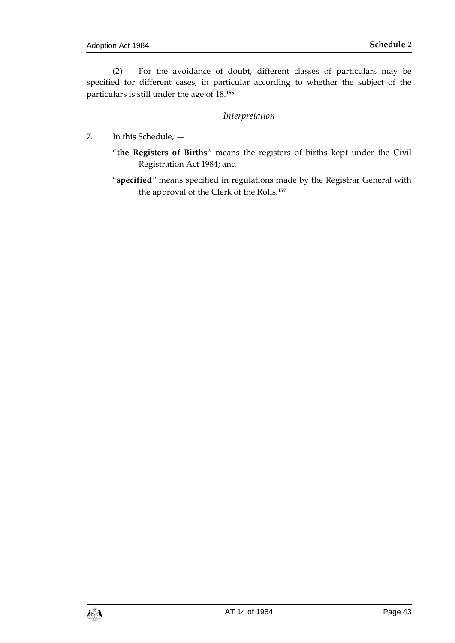(2) For the avoidance of doubt, different classes of particulars may be specified for different cases, in particular according to whether the subject of the particulars is still under the age of 18.**<sup>156</sup>**

# *Interpretation*

- 7. In this Schedule,
	- "**the Registers of Births**" means the registers of births kept under the Civil Registration Act 1984; and

"**specified**" means specified in regulations made by the Registrar General with the approval of the Clerk of the Rolls.**157**

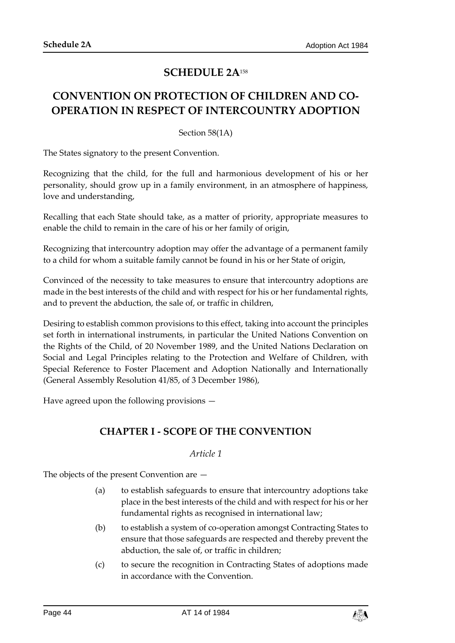# **SCHEDULE 2A**<sup>158</sup>

# <span id="page-43-1"></span><span id="page-43-0"></span>**CONVENTION ON PROTECTION OF CHILDREN AND CO-OPERATION IN RESPECT OF INTERCOUNTRY ADOPTION**

#### Section 58(1A)

The States signatory to the present Convention.

Recognizing that the child, for the full and harmonious development of his or her personality, should grow up in a family environment, in an atmosphere of happiness, love and understanding,

Recalling that each State should take, as a matter of priority, appropriate measures to enable the child to remain in the care of his or her family of origin,

Recognizing that intercountry adoption may offer the advantage of a permanent family to a child for whom a suitable family cannot be found in his or her State of origin,

Convinced of the necessity to take measures to ensure that intercountry adoptions are made in the best interests of the child and with respect for his or her fundamental rights, and to prevent the abduction, the sale of, or traffic in children,

Desiring to establish common provisions to this effect, taking into account the principles set forth in international instruments, in particular the United Nations Convention on the Rights of the Child, of 20 November 1989, and the United Nations Declaration on Social and Legal Principles relating to the Protection and Welfare of Children, with Special Reference to Foster Placement and Adoption Nationally and Internationally (General Assembly Resolution 41/85, of 3 December 1986),

Have agreed upon the following provisions —

# **CHAPTER I - SCOPE OF THE CONVENTION**

#### *Article 1*

The objects of the present Convention are —

- (a) to establish safeguards to ensure that intercountry adoptions take place in the best interests of the child and with respect for his or her fundamental rights as recognised in international law;
- (b) to establish a system of co-operation amongst Contracting States to ensure that those safeguards are respected and thereby prevent the abduction, the sale of, or traffic in children;
- (c) to secure the recognition in Contracting States of adoptions made in accordance with the Convention.

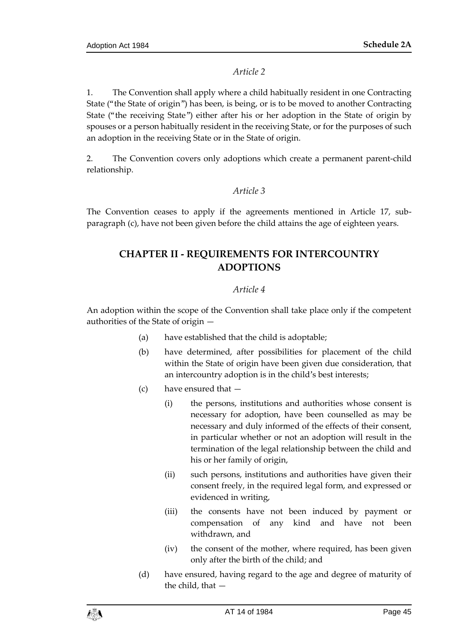1. The Convention shall apply where a child habitually resident in one Contracting State ("the State of origin") has been, is being, or is to be moved to another Contracting State ("the receiving State") either after his or her adoption in the State of origin by spouses or a person habitually resident in the receiving State, or for the purposes of such an adoption in the receiving State or in the State of origin.

2. The Convention covers only adoptions which create a permanent parent-child relationship.

# *Article 3*

The Convention ceases to apply if the agreements mentioned in Article 17, subparagraph (c), have not been given before the child attains the age of eighteen years.

# **CHAPTER II - REQUIREMENTS FOR INTERCOUNTRY ADOPTIONS**

# *Article 4*

An adoption within the scope of the Convention shall take place only if the competent authorities of the State of origin —

- (a) have established that the child is adoptable;
- (b) have determined, after possibilities for placement of the child within the State of origin have been given due consideration, that an intercountry adoption is in the child's best interests;
- (c) have ensured that
	- (i) the persons, institutions and authorities whose consent is necessary for adoption, have been counselled as may be necessary and duly informed of the effects of their consent, in particular whether or not an adoption will result in the termination of the legal relationship between the child and his or her family of origin,
	- (ii) such persons, institutions and authorities have given their consent freely, in the required legal form, and expressed or evidenced in writing,
	- (iii) the consents have not been induced by payment or compensation of any kind and have not been withdrawn, and
	- (iv) the consent of the mother, where required, has been given only after the birth of the child; and
- (d) have ensured, having regard to the age and degree of maturity of the child, that —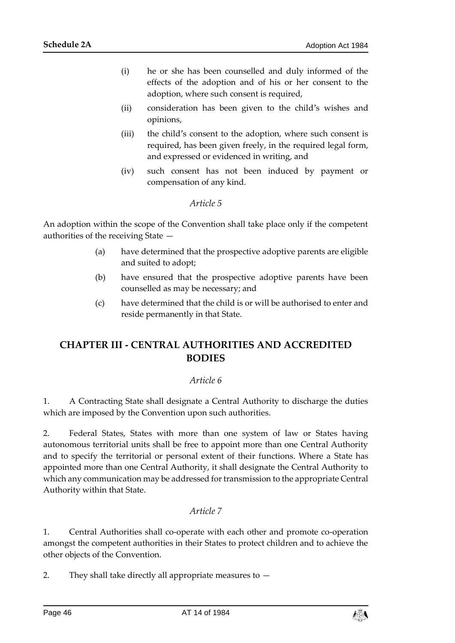- (i) he or she has been counselled and duly informed of the effects of the adoption and of his or her consent to the adoption, where such consent is required,
- (ii) consideration has been given to the child's wishes and opinions,
- (iii) the child's consent to the adoption, where such consent is required, has been given freely, in the required legal form, and expressed or evidenced in writing, and
- (iv) such consent has not been induced by payment or compensation of any kind.

An adoption within the scope of the Convention shall take place only if the competent authorities of the receiving State —

- (a) have determined that the prospective adoptive parents are eligible and suited to adopt;
- (b) have ensured that the prospective adoptive parents have been counselled as may be necessary; and
- (c) have determined that the child is or will be authorised to enter and reside permanently in that State.

# **CHAPTER III - CENTRAL AUTHORITIES AND ACCREDITED BODIES**

#### *Article 6*

1. A Contracting State shall designate a Central Authority to discharge the duties which are imposed by the Convention upon such authorities.

2. Federal States, States with more than one system of law or States having autonomous territorial units shall be free to appoint more than one Central Authority and to specify the territorial or personal extent of their functions. Where a State has appointed more than one Central Authority, it shall designate the Central Authority to which any communication may be addressed for transmission to the appropriate Central Authority within that State.

#### *Article 7*

1. Central Authorities shall co-operate with each other and promote co-operation amongst the competent authorities in their States to protect children and to achieve the other objects of the Convention.

2. They shall take directly all appropriate measures to —

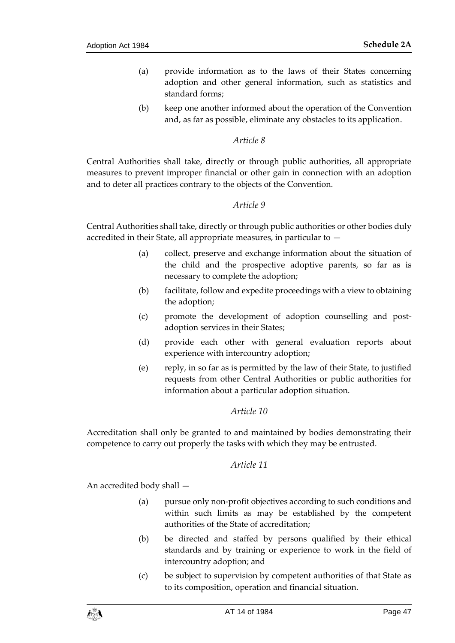- (a) provide information as to the laws of their States concerning adoption and other general information, such as statistics and standard forms;
- (b) keep one another informed about the operation of the Convention and, as far as possible, eliminate any obstacles to its application.

Central Authorities shall take, directly or through public authorities, all appropriate measures to prevent improper financial or other gain in connection with an adoption and to deter all practices contrary to the objects of the Convention.

#### *Article 9*

Central Authorities shall take, directly or through public authorities or other bodies duly accredited in their State, all appropriate measures, in particular to —

- (a) collect, preserve and exchange information about the situation of the child and the prospective adoptive parents, so far as is necessary to complete the adoption;
- (b) facilitate, follow and expedite proceedings with a view to obtaining the adoption;
- (c) promote the development of adoption counselling and postadoption services in their States;
- (d) provide each other with general evaluation reports about experience with intercountry adoption;
- (e) reply, in so far as is permitted by the law of their State, to justified requests from other Central Authorities or public authorities for information about a particular adoption situation.

#### *Article 10*

Accreditation shall only be granted to and maintained by bodies demonstrating their competence to carry out properly the tasks with which they may be entrusted.

#### *Article 11*

An accredited body shall —

- (a) pursue only non-profit objectives according to such conditions and within such limits as may be established by the competent authorities of the State of accreditation;
- (b) be directed and staffed by persons qualified by their ethical standards and by training or experience to work in the field of intercountry adoption; and
- (c) be subject to supervision by competent authorities of that State as to its composition, operation and financial situation.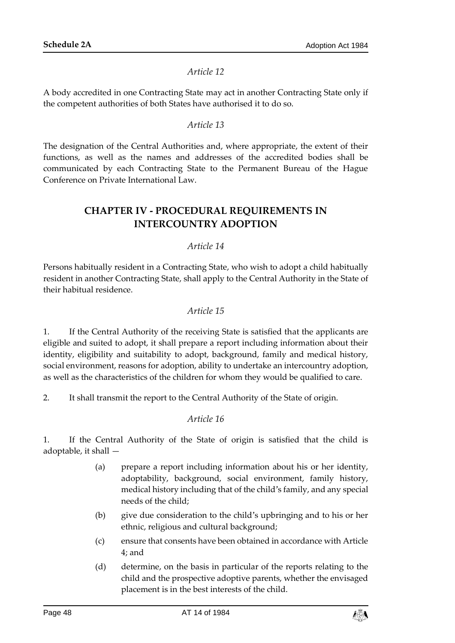A body accredited in one Contracting State may act in another Contracting State only if the competent authorities of both States have authorised it to do so.

#### *Article 13*

The designation of the Central Authorities and, where appropriate, the extent of their functions, as well as the names and addresses of the accredited bodies shall be communicated by each Contracting State to the Permanent Bureau of the Hague Conference on Private International Law.

# **CHAPTER IV - PROCEDURAL REQUIREMENTS IN INTERCOUNTRY ADOPTION**

#### *Article 14*

Persons habitually resident in a Contracting State, who wish to adopt a child habitually resident in another Contracting State, shall apply to the Central Authority in the State of their habitual residence.

#### *Article 15*

1. If the Central Authority of the receiving State is satisfied that the applicants are eligible and suited to adopt, it shall prepare a report including information about their identity, eligibility and suitability to adopt, background, family and medical history, social environment, reasons for adoption, ability to undertake an intercountry adoption, as well as the characteristics of the children for whom they would be qualified to care.

2. It shall transmit the report to the Central Authority of the State of origin.

#### *Article 16*

1. If the Central Authority of the State of origin is satisfied that the child is adoptable, it shall —

- (a) prepare a report including information about his or her identity, adoptability, background, social environment, family history, medical history including that of the child's family, and any special needs of the child;
- (b) give due consideration to the child's upbringing and to his or her ethnic, religious and cultural background;
- (c) ensure that consents have been obtained in accordance with Article 4; and
- (d) determine, on the basis in particular of the reports relating to the child and the prospective adoptive parents, whether the envisaged placement is in the best interests of the child.

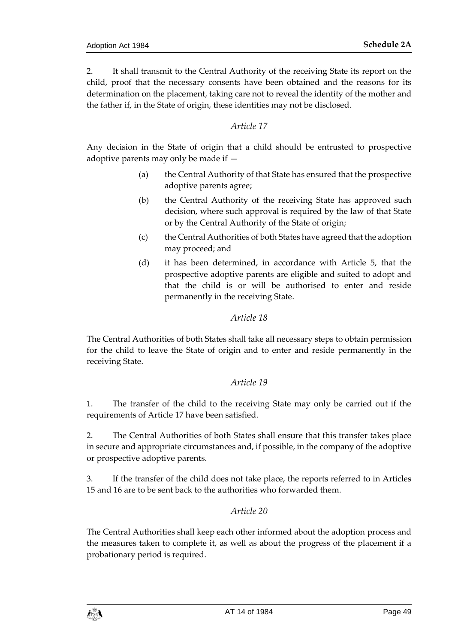2. It shall transmit to the Central Authority of the receiving State its report on the child, proof that the necessary consents have been obtained and the reasons for its determination on the placement, taking care not to reveal the identity of the mother and the father if, in the State of origin, these identities may not be disclosed.

# *Article 17*

Any decision in the State of origin that a child should be entrusted to prospective adoptive parents may only be made if —

- (a) the Central Authority of that State has ensured that the prospective adoptive parents agree;
- (b) the Central Authority of the receiving State has approved such decision, where such approval is required by the law of that State or by the Central Authority of the State of origin;
- (c) the Central Authorities of both States have agreed that the adoption may proceed; and
- (d) it has been determined, in accordance with Article 5, that the prospective adoptive parents are eligible and suited to adopt and that the child is or will be authorised to enter and reside permanently in the receiving State.

# *Article 18*

The Central Authorities of both States shall take all necessary steps to obtain permission for the child to leave the State of origin and to enter and reside permanently in the receiving State.

# *Article 19*

1. The transfer of the child to the receiving State may only be carried out if the requirements of Article 17 have been satisfied.

2. The Central Authorities of both States shall ensure that this transfer takes place in secure and appropriate circumstances and, if possible, in the company of the adoptive or prospective adoptive parents.

3. If the transfer of the child does not take place, the reports referred to in Articles 15 and 16 are to be sent back to the authorities who forwarded them.

# *Article 20*

The Central Authorities shall keep each other informed about the adoption process and the measures taken to complete it, as well as about the progress of the placement if a probationary period is required.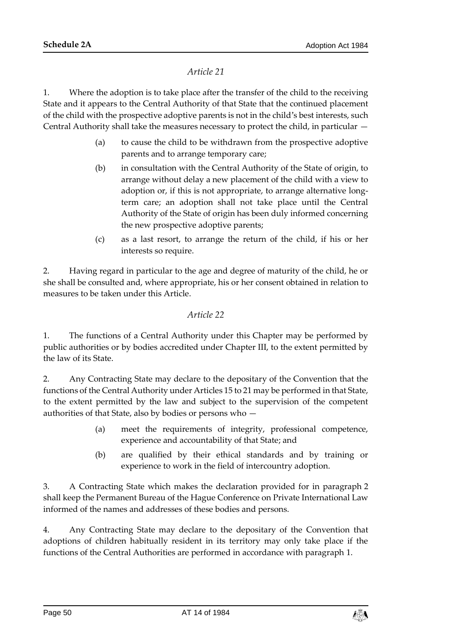1. Where the adoption is to take place after the transfer of the child to the receiving State and it appears to the Central Authority of that State that the continued placement of the child with the prospective adoptive parents is not in the child's best interests, such Central Authority shall take the measures necessary to protect the child, in particular —

- (a) to cause the child to be withdrawn from the prospective adoptive parents and to arrange temporary care;
- (b) in consultation with the Central Authority of the State of origin, to arrange without delay a new placement of the child with a view to adoption or, if this is not appropriate, to arrange alternative longterm care; an adoption shall not take place until the Central Authority of the State of origin has been duly informed concerning the new prospective adoptive parents;
- (c) as a last resort, to arrange the return of the child, if his or her interests so require.

2. Having regard in particular to the age and degree of maturity of the child, he or she shall be consulted and, where appropriate, his or her consent obtained in relation to measures to be taken under this Article.

### *Article 22*

1. The functions of a Central Authority under this Chapter may be performed by public authorities or by bodies accredited under Chapter III, to the extent permitted by the law of its State.

2. Any Contracting State may declare to the depositary of the Convention that the functions of the Central Authority under Articles 15 to 21 may be performed in that State, to the extent permitted by the law and subject to the supervision of the competent authorities of that State, also by bodies or persons who —

- (a) meet the requirements of integrity, professional competence, experience and accountability of that State; and
- (b) are qualified by their ethical standards and by training or experience to work in the field of intercountry adoption.

3. A Contracting State which makes the declaration provided for in paragraph 2 shall keep the Permanent Bureau of the Hague Conference on Private International Law informed of the names and addresses of these bodies and persons.

4. Any Contracting State may declare to the depositary of the Convention that adoptions of children habitually resident in its territory may only take place if the functions of the Central Authorities are performed in accordance with paragraph 1.

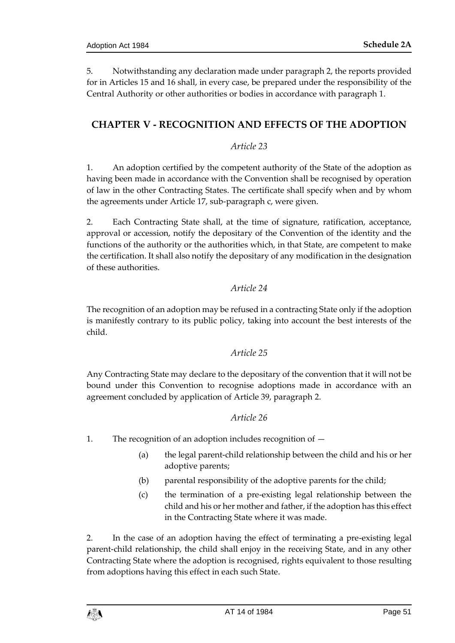5. Notwithstanding any declaration made under paragraph 2, the reports provided for in Articles 15 and 16 shall, in every case, be prepared under the responsibility of the Central Authority or other authorities or bodies in accordance with paragraph 1.

# **CHAPTER V - RECOGNITION AND EFFECTS OF THE ADOPTION**

# *Article 23*

1. An adoption certified by the competent authority of the State of the adoption as having been made in accordance with the Convention shall be recognised by operation of law in the other Contracting States. The certificate shall specify when and by whom the agreements under Article 17, sub-paragraph c, were given.

2. Each Contracting State shall, at the time of signature, ratification, acceptance, approval or accession, notify the depositary of the Convention of the identity and the functions of the authority or the authorities which, in that State, are competent to make the certification. It shall also notify the depositary of any modification in the designation of these authorities.

# *Article 24*

The recognition of an adoption may be refused in a contracting State only if the adoption is manifestly contrary to its public policy, taking into account the best interests of the child.

# *Article 25*

Any Contracting State may declare to the depositary of the convention that it will not be bound under this Convention to recognise adoptions made in accordance with an agreement concluded by application of Article 39, paragraph 2.

# *Article 26*

- 1. The recognition of an adoption includes recognition of
	- (a) the legal parent-child relationship between the child and his or her adoptive parents;
	- (b) parental responsibility of the adoptive parents for the child;
	- (c) the termination of a pre-existing legal relationship between the child and his or her mother and father, if the adoption has this effect in the Contracting State where it was made.

2. In the case of an adoption having the effect of terminating a pre-existing legal parent-child relationship, the child shall enjoy in the receiving State, and in any other Contracting State where the adoption is recognised, rights equivalent to those resulting from adoptions having this effect in each such State.

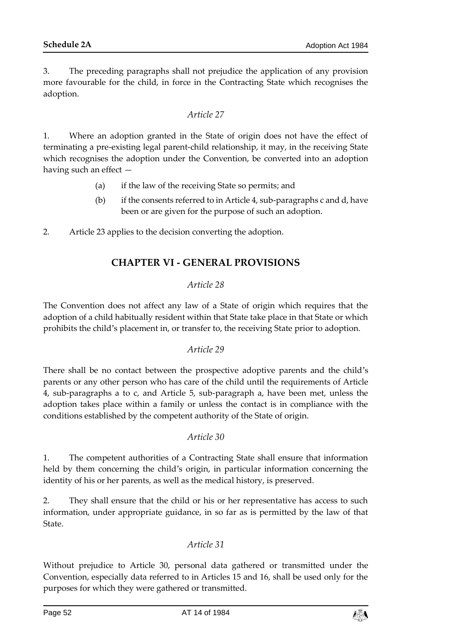3. The preceding paragraphs shall not prejudice the application of any provision more favourable for the child, in force in the Contracting State which recognises the adoption.

# *Article 27*

1. Where an adoption granted in the State of origin does not have the effect of terminating a pre-existing legal parent-child relationship, it may, in the receiving State which recognises the adoption under the Convention, be converted into an adoption having such an effect —

- (a) if the law of the receiving State so permits; and
- (b) if the consents referred to in Article 4, sub-paragraphs c and d, have been or are given for the purpose of such an adoption.

2. Article 23 applies to the decision converting the adoption.

# **CHAPTER VI - GENERAL PROVISIONS**

### *Article 28*

The Convention does not affect any law of a State of origin which requires that the adoption of a child habitually resident within that State take place in that State or which prohibits the child's placement in, or transfer to, the receiving State prior to adoption.

#### *Article 29*

There shall be no contact between the prospective adoptive parents and the child's parents or any other person who has care of the child until the requirements of Article 4, sub-paragraphs a to c, and Article 5, sub-paragraph a, have been met, unless the adoption takes place within a family or unless the contact is in compliance with the conditions established by the competent authority of the State of origin.

#### *Article 30*

1. The competent authorities of a Contracting State shall ensure that information held by them concerning the child's origin, in particular information concerning the identity of his or her parents, as well as the medical history, is preserved.

2. They shall ensure that the child or his or her representative has access to such information, under appropriate guidance, in so far as is permitted by the law of that State.

#### *Article 31*

Without prejudice to Article 30, personal data gathered or transmitted under the Convention, especially data referred to in Articles 15 and 16, shall be used only for the purposes for which they were gathered or transmitted.

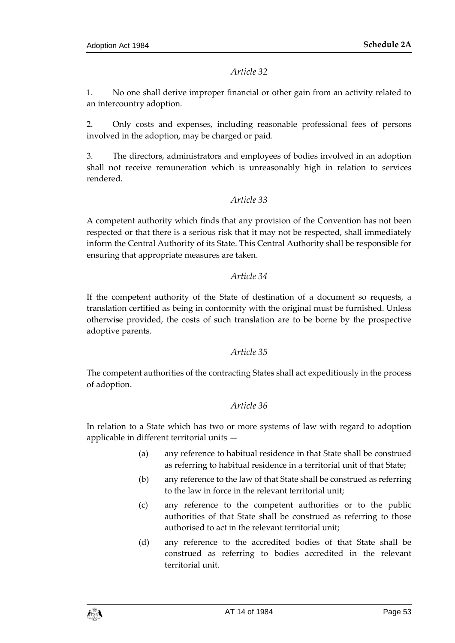1. No one shall derive improper financial or other gain from an activity related to an intercountry adoption.

2. Only costs and expenses, including reasonable professional fees of persons involved in the adoption, may be charged or paid.

3. The directors, administrators and employees of bodies involved in an adoption shall not receive remuneration which is unreasonably high in relation to services rendered.

### *Article 33*

A competent authority which finds that any provision of the Convention has not been respected or that there is a serious risk that it may not be respected, shall immediately inform the Central Authority of its State. This Central Authority shall be responsible for ensuring that appropriate measures are taken.

### *Article 34*

If the competent authority of the State of destination of a document so requests, a translation certified as being in conformity with the original must be furnished. Unless otherwise provided, the costs of such translation are to be borne by the prospective adoptive parents.

#### *Article 35*

The competent authorities of the contracting States shall act expeditiously in the process of adoption.

#### *Article 36*

In relation to a State which has two or more systems of law with regard to adoption applicable in different territorial units —

- (a) any reference to habitual residence in that State shall be construed as referring to habitual residence in a territorial unit of that State;
- (b) any reference to the law of that State shall be construed as referring to the law in force in the relevant territorial unit;
- (c) any reference to the competent authorities or to the public authorities of that State shall be construed as referring to those authorised to act in the relevant territorial unit;
- (d) any reference to the accredited bodies of that State shall be construed as referring to bodies accredited in the relevant territorial unit.

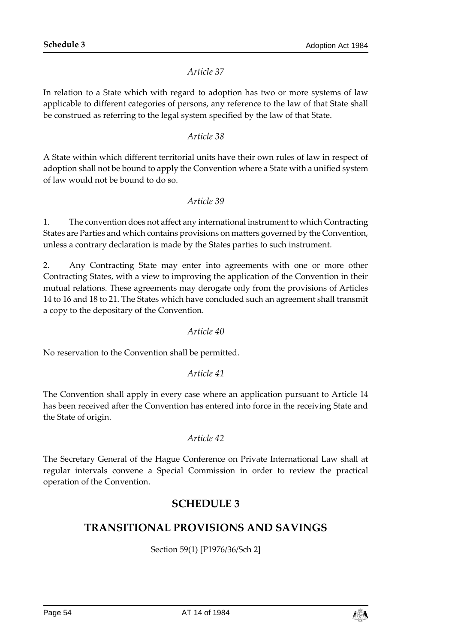In relation to a State which with regard to adoption has two or more systems of law applicable to different categories of persons, any reference to the law of that State shall be construed as referring to the legal system specified by the law of that State.

#### *Article 38*

A State within which different territorial units have their own rules of law in respect of adoption shall not be bound to apply the Convention where a State with a unified system of law would not be bound to do so.

#### *Article 39*

1. The convention does not affect any international instrument to which Contracting States are Parties and which contains provisions on matters governed by the Convention, unless a contrary declaration is made by the States parties to such instrument.

2. Any Contracting State may enter into agreements with one or more other Contracting States, with a view to improving the application of the Convention in their mutual relations. These agreements may derogate only from the provisions of Articles 14 to 16 and 18 to 21. The States which have concluded such an agreement shall transmit a copy to the depositary of the Convention.

#### *Article 40*

No reservation to the Convention shall be permitted.

#### *Article 41*

The Convention shall apply in every case where an application pursuant to Article 14 has been received after the Convention has entered into force in the receiving State and the State of origin.

#### *Article 42*

<span id="page-53-0"></span>The Secretary General of the Hague Conference on Private International Law shall at regular intervals convene a Special Commission in order to review the practical operation of the Convention.

# **SCHEDULE 3**

# <span id="page-53-1"></span>**TRANSITIONAL PROVISIONS AND SAVINGS**

Section 59(1) [P1976/36/Sch 2]

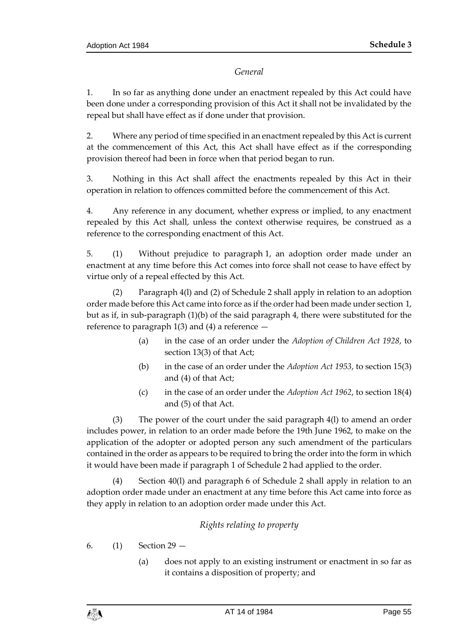# *General*

1. In so far as anything done under an enactment repealed by this Act could have been done under a corresponding provision of this Act it shall not be invalidated by the repeal but shall have effect as if done under that provision.

2. Where any period of time specified in an enactment repealed by this Act is current at the commencement of this Act, this Act shall have effect as if the corresponding provision thereof had been in force when that period began to run.

3. Nothing in this Act shall affect the enactments repealed by this Act in their operation in relation to offences committed before the commencement of this Act.

4. Any reference in any document, whether express or implied, to any enactment repealed by this Act shall, unless the context otherwise requires, be construed as a reference to the corresponding enactment of this Act.

5. (1) Without prejudice to paragraph 1, an adoption order made under an enactment at any time before this Act comes into force shall not cease to have effect by virtue only of a repeal effected by this Act.

(2) Paragraph 4(l) and (2) of Schedule 2 shall apply in relation to an adoption order made before this Act came into force as if the order had been made under section 1, but as if, in sub-paragraph (1)(b) of the said paragraph 4, there were substituted for the reference to paragraph  $1(3)$  and  $(4)$  a reference  $-$ 

- (a) in the case of an order under the *Adoption of Children Act 1928*, to section 13(3) of that Act;
- (b) in the case of an order under the *Adoption Act 1953*, to section 15(3) and (4) of that Act;
- (c) in the case of an order under the *Adoption Act 1962*, to section 18(4) and (5) of that Act.

(3) The power of the court under the said paragraph 4(l) to amend an order includes power, in relation to an order made before the 19th June 1962, to make on the application of the adopter or adopted person any such amendment of the particulars contained in the order as appears to be required to bring the order into the form in which it would have been made if paragraph 1 of Schedule 2 had applied to the order.

(4) Section 40(l) and paragraph 6 of Schedule 2 shall apply in relation to an adoption order made under an enactment at any time before this Act came into force as they apply in relation to an adoption order made under this Act.

# *Rights relating to property*

- 6. (1) Section 29
	- (a) does not apply to an existing instrument or enactment in so far as it contains a disposition of property; and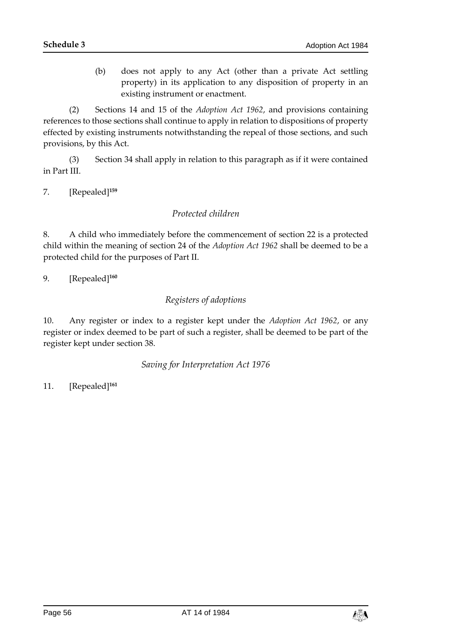(b) does not apply to any Act (other than a private Act settling property) in its application to any disposition of property in an existing instrument or enactment.

(2) Sections 14 and 15 of the *Adoption Act 1962*, and provisions containing references to those sections shall continue to apply in relation to dispositions of property effected by existing instruments notwithstanding the repeal of those sections, and such provisions, by this Act.

(3) Section 34 shall apply in relation to this paragraph as if it were contained in Part III.

7. [Repealed]**<sup>159</sup>**

### *Protected children*

8. A child who immediately before the commencement of section 22 is a protected child within the meaning of section 24 of the *Adoption Act 1962* shall be deemed to be a protected child for the purposes of Part II.

9. [Repealed]**<sup>160</sup>**

# *Registers of adoptions*

10. Any register or index to a register kept under the *Adoption Act 1962*, or any register or index deemed to be part of such a register, shall be deemed to be part of the register kept under section 38.

#### *Saving for Interpretation Act 1976*

11. [Repealed] **161**

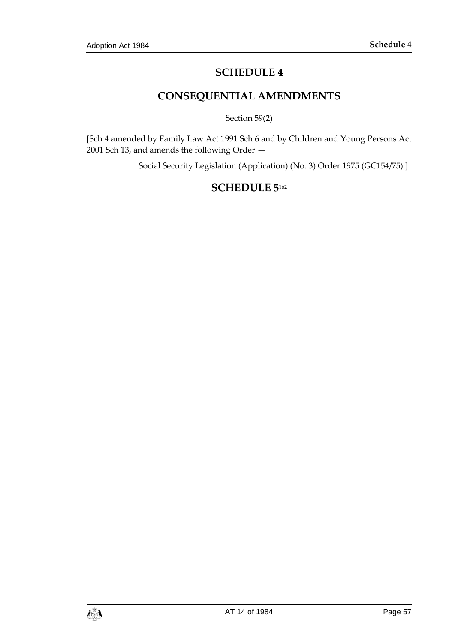# **SCHEDULE 4**

# **CONSEQUENTIAL AMENDMENTS**

Section 59(2)

<span id="page-56-2"></span><span id="page-56-1"></span><span id="page-56-0"></span>[Sch 4 amended by Family Law Act 1991 Sch 6 and by Children and Young Persons Act 2001 Sch 13, and amends the following Order —

Social Security Legislation (Application) (No. 3) Order 1975 (GC154/75).]

# **SCHEDULE 5**162

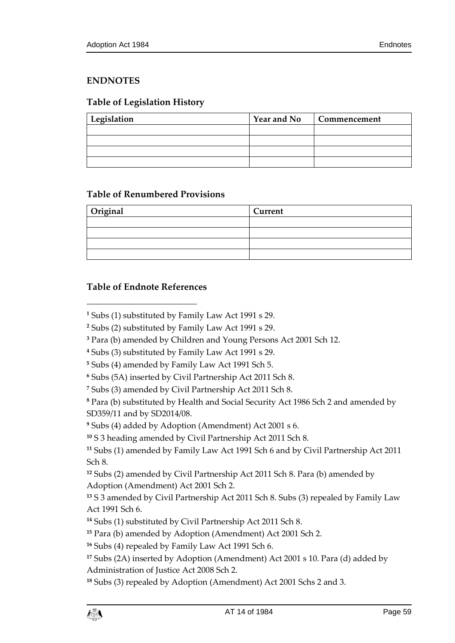# <span id="page-58-0"></span>**ENDNOTES**

# <span id="page-58-1"></span>**Table of Legislation History**

| Legislation | <b>Year and No</b> | <b>Commencement</b> |
|-------------|--------------------|---------------------|
|             |                    |                     |
|             |                    |                     |
|             |                    |                     |
|             |                    |                     |

# <span id="page-58-2"></span>**Table of Renumbered Provisions**

| Original | Current |
|----------|---------|
|          |         |
|          |         |
|          |         |
|          |         |

# <span id="page-58-3"></span>**Table of Endnote References**

 $\overline{a}$ 

**<sup>1</sup>** Subs (1) substituted by Family Law Act 1991 s 29.

**<sup>2</sup>** Subs (2) substituted by Family Law Act 1991 s 29.

**<sup>3</sup>** Para (b) amended by Children and Young Persons Act 2001 Sch 12.

**<sup>4</sup>** Subs (3) substituted by Family Law Act 1991 s 29.

**<sup>5</sup>** Subs (4) amended by Family Law Act 1991 Sch 5.

**<sup>6</sup>** Subs (5A) inserted by Civil Partnership Act 2011 Sch 8.

**<sup>7</sup>** Subs (3) amended by Civil Partnership Act 2011 Sch 8.

**<sup>8</sup>** Para (b) substituted by Health and Social Security Act 1986 Sch 2 and amended by SD359/11 and by SD2014/08.

**<sup>9</sup>** Subs (4) added by Adoption (Amendment) Act 2001 s 6.

**<sup>10</sup>** S 3 heading amended by Civil Partnership Act 2011 Sch 8.

**<sup>11</sup>** Subs (1) amended by Family Law Act 1991 Sch 6 and by Civil Partnership Act 2011 Sch 8.

**<sup>12</sup>** Subs (2) amended by Civil Partnership Act 2011 Sch 8. Para (b) amended by Adoption (Amendment) Act 2001 Sch 2.

**<sup>13</sup>** S 3 amended by Civil Partnership Act 2011 Sch 8. Subs (3) repealed by Family Law Act 1991 Sch 6.

**<sup>14</sup>** Subs (1) substituted by Civil Partnership Act 2011 Sch 8.

**<sup>15</sup>** Para (b) amended by Adoption (Amendment) Act 2001 Sch 2.

**<sup>16</sup>** Subs (4) repealed by Family Law Act 1991 Sch 6.

**<sup>17</sup>** Subs (2A) inserted by Adoption (Amendment) Act 2001 s 10. Para (d) added by Administration of Justice Act 2008 Sch 2.

**<sup>18</sup>** Subs (3) repealed by Adoption (Amendment) Act 2001 Schs 2 and 3.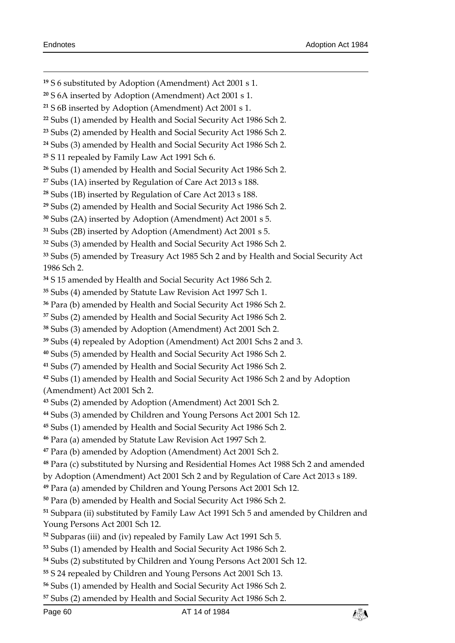S 6 substituted by Adoption (Amendment) Act 2001 s 1. S 6A inserted by Adoption (Amendment) Act 2001 s 1. S 6B inserted by Adoption (Amendment) Act 2001 s 1. Subs (1) amended by Health and Social Security Act 1986 Sch 2. Subs (2) amended by Health and Social Security Act 1986 Sch 2. Subs (3) amended by Health and Social Security Act 1986 Sch 2. S 11 repealed by Family Law Act 1991 Sch 6. Subs (1) amended by Health and Social Security Act 1986 Sch 2. Subs (1A) inserted by Regulation of Care Act 2013 s 188. Subs (1B) inserted by Regulation of Care Act 2013 s 188. Subs (2) amended by Health and Social Security Act 1986 Sch 2. Subs (2A) inserted by Adoption (Amendment) Act 2001 s 5. Subs (2B) inserted by Adoption (Amendment) Act 2001 s 5. Subs (3) amended by Health and Social Security Act 1986 Sch 2. Subs (5) amended by Treasury Act 1985 Sch 2 and by Health and Social Security Act 1986 Sch 2. S 15 amended by Health and Social Security Act 1986 Sch 2. Subs (4) amended by Statute Law Revision Act 1997 Sch 1. Para (b) amended by Health and Social Security Act 1986 Sch 2. Subs (2) amended by Health and Social Security Act 1986 Sch 2. Subs (3) amended by Adoption (Amendment) Act 2001 Sch 2. Subs (4) repealed by Adoption (Amendment) Act 2001 Schs 2 and 3. Subs (5) amended by Health and Social Security Act 1986 Sch 2. Subs (7) amended by Health and Social Security Act 1986 Sch 2. Subs (1) amended by Health and Social Security Act 1986 Sch 2 and by Adoption (Amendment) Act 2001 Sch 2. Subs (2) amended by Adoption (Amendment) Act 2001 Sch 2. Subs (3) amended by Children and Young Persons Act 2001 Sch 12. Subs (1) amended by Health and Social Security Act 1986 Sch 2. Para (a) amended by Statute Law Revision Act 1997 Sch 2. Para (b) amended by Adoption (Amendment) Act 2001 Sch 2. Para (c) substituted by Nursing and Residential Homes Act 1988 Sch 2 and amended by Adoption (Amendment) Act 2001 Sch 2 and by Regulation of Care Act 2013 s 189. Para (a) amended by Children and Young Persons Act 2001 Sch 12. Para (b) amended by Health and Social Security Act 1986 Sch 2. Subpara (ii) substituted by Family Law Act 1991 Sch 5 and amended by Children and Young Persons Act 2001 Sch 12. Subparas (iii) and (iv) repealed by Family Law Act 1991 Sch 5. Subs (1) amended by Health and Social Security Act 1986 Sch 2. Subs (2) substituted by Children and Young Persons Act 2001 Sch 12. S 24 repealed by Children and Young Persons Act 2001 Sch 13. Subs (1) amended by Health and Social Security Act 1986 Sch 2. Subs (2) amended by Health and Social Security Act 1986 Sch 2.

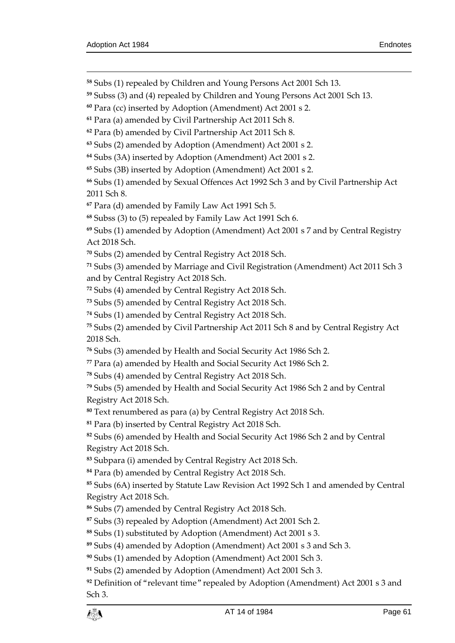$\overline{a}$ 

Subs (1) repealed by Children and Young Persons Act 2001 Sch 13.

Subss (3) and (4) repealed by Children and Young Persons Act 2001 Sch 13.

Para (cc) inserted by Adoption (Amendment) Act 2001 s 2.

Para (b) amended by Civil Partnership Act 2011 Sch 8.

Subs (2) amended by Adoption (Amendment) Act 2001 s 2.

Subs (3A) inserted by Adoption (Amendment) Act 2001 s 2.

Subs (3B) inserted by Adoption (Amendment) Act 2001 s 2.

 Subs (1) amended by Sexual Offences Act 1992 Sch 3 and by Civil Partnership Act 2011 Sch 8.

Para (d) amended by Family Law Act 1991 Sch 5.

Subss (3) to (5) repealed by Family Law Act 1991 Sch 6.

 Subs (1) amended by Adoption (Amendment) Act 2001 s 7 and by Central Registry Act 2018 Sch.

Subs (2) amended by Central Registry Act 2018 Sch.

 Subs (3) amended by Marriage and Civil Registration (Amendment) Act 2011 Sch 3 and by Central Registry Act 2018 Sch.

Subs (4) amended by Central Registry Act 2018 Sch.

Subs (5) amended by Central Registry Act 2018 Sch.

Subs (1) amended by Central Registry Act 2018 Sch.

 Subs (2) amended by Civil Partnership Act 2011 Sch 8 and by Central Registry Act 2018 Sch.

Subs (3) amended by Health and Social Security Act 1986 Sch 2.

Para (a) amended by Health and Social Security Act 1986 Sch 2.

Subs (4) amended by Central Registry Act 2018 Sch.

 Subs (5) amended by Health and Social Security Act 1986 Sch 2 and by Central Registry Act 2018 Sch.

Text renumbered as para (a) by Central Registry Act 2018 Sch.

Para (b) inserted by Central Registry Act 2018 Sch.

 Subs (6) amended by Health and Social Security Act 1986 Sch 2 and by Central Registry Act 2018 Sch.

Subpara (i) amended by Central Registry Act 2018 Sch.

Para (b) amended by Central Registry Act 2018 Sch.

 Subs (6A) inserted by Statute Law Revision Act 1992 Sch 1 and amended by Central Registry Act 2018 Sch.

Subs (7) amended by Central Registry Act 2018 Sch.

Subs (3) repealed by Adoption (Amendment) Act 2001 Sch 2.

Subs (1) substituted by Adoption (Amendment) Act 2001 s 3.

Subs (4) amended by Adoption (Amendment) Act 2001 s 3 and Sch 3.

Subs (1) amended by Adoption (Amendment) Act 2001 Sch 3.

Subs (2) amended by Adoption (Amendment) Act 2001 Sch 3.

 Definition of "relevant time" repealed by Adoption (Amendment) Act 2001 s 3 and Sch 3.

Para (a) amended by Civil Partnership Act 2011 Sch 8.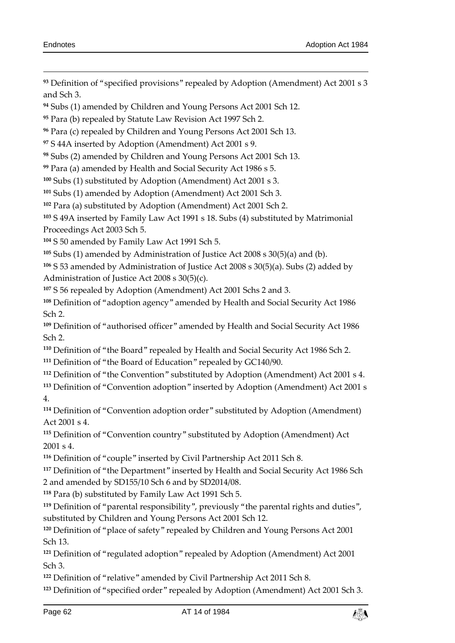Definition of "specified provisions" repealed by Adoption (Amendment) Act 2001 s 3 and Sch 3.

Subs (1) amended by Children and Young Persons Act 2001 Sch 12.

Para (b) repealed by Statute Law Revision Act 1997 Sch 2.

Para (c) repealed by Children and Young Persons Act 2001 Sch 13.

S 44A inserted by Adoption (Amendment) Act 2001 s 9.

Subs (2) amended by Children and Young Persons Act 2001 Sch 13.

Para (a) amended by Health and Social Security Act 1986 s 5.

Subs (1) substituted by Adoption (Amendment) Act 2001 s 3.

Subs (1) amended by Adoption (Amendment) Act 2001 Sch 3.

Para (a) substituted by Adoption (Amendment) Act 2001 Sch 2.

 S 49A inserted by Family Law Act 1991 s 18. Subs (4) substituted by Matrimonial Proceedings Act 2003 Sch 5.

S 50 amended by Family Law Act 1991 Sch 5.

Subs (1) amended by Administration of Justice Act 2008 s 30(5)(a) and (b).

 S 53 amended by Administration of Justice Act 2008 s 30(5)(a). Subs (2) added by Administration of Justice Act 2008 s 30(5)(c).

S 56 repealed by Adoption (Amendment) Act 2001 Schs 2 and 3.

 Definition of "adoption agency" amended by Health and Social Security Act 1986 Sch 2.

 Definition of "authorised officer" amended by Health and Social Security Act 1986 Sch 2.

Definition of "the Board" repealed by Health and Social Security Act 1986 Sch 2.

Definition of "the Board of Education" repealed by GC140/90.

Definition of "the Convention" substituted by Adoption (Amendment) Act 2001 s 4.

 Definition of "Convention adoption" inserted by Adoption (Amendment) Act 2001 s 4.

 Definition of "Convention adoption order" substituted by Adoption (Amendment) Act 2001 s 4.

 Definition of "Convention country" substituted by Adoption (Amendment) Act 2001 s 4.

Definition of "couple" inserted by Civil Partnership Act 2011 Sch 8.

 Definition of "the Department" inserted by Health and Social Security Act 1986 Sch 2 and amended by SD155/10 Sch 6 and by SD2014/08.

Para (b) substituted by Family Law Act 1991 Sch 5.

 Definition of "parental responsibility", previously "the parental rights and duties", substituted by Children and Young Persons Act 2001 Sch 12.

 Definition of "place of safety" repealed by Children and Young Persons Act 2001 Sch 13.

 Definition of "regulated adoption" repealed by Adoption (Amendment) Act 2001 Sch 3.

Definition of "relative" amended by Civil Partnership Act 2011 Sch 8.

Definition of "specified order" repealed by Adoption (Amendment) Act 2001 Sch 3.